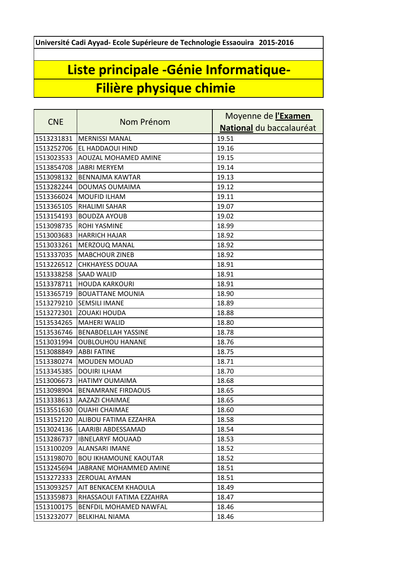**Université Cadi Ayyad- Ecole Supérieure de Technologie Essaouira 2015-2016**

## **Liste principale -Génie Informatique-Filière physique chimie**

| <b>CNE</b> | Nom Prénom                   | Moyenne de l'Examen      |
|------------|------------------------------|--------------------------|
|            |                              | National du baccalauréat |
| 1513231831 | <b>MERNISSI MANAL</b>        | 19.51                    |
| 1513252706 | EL HADDAOUI HIND             | 19.16                    |
| 1513023533 | <b>AOUZAL MOHAMED AMINE</b>  | 19.15                    |
| 1513854708 | IJABRI MERYEM                | 19.14                    |
| 1513098132 | <b>BENNAJMA KAWTAR</b>       | 19.13                    |
| 1513282244 | DOUMAS OUMAIMA               | 19.12                    |
| 1513366024 | <b>MOUFID ILHAM</b>          | 19.11                    |
| 1513365105 | <b>RHALIMI SAHAR</b>         | 19.07                    |
| 1513154193 | <b>BOUDZA AYOUB</b>          | 19.02                    |
| 1513098735 | <b>ROHI YASMINE</b>          | 18.99                    |
| 1513003683 | <b>HARRICH HAJAR</b>         | 18.92                    |
| 1513033261 | <b>MERZOUQ MANAL</b>         | 18.92                    |
| 1513337035 | <b>MABCHOUR ZINEB</b>        | 18.92                    |
| 1513226512 | <b>CHKHAYESS DOUAA</b>       | 18.91                    |
| 1513338258 | <b>SAAD WALID</b>            | 18.91                    |
| 1513378711 | <b>HOUDA KARKOURI</b>        | 18.91                    |
| 1513365719 | <b>BOUATTANE MOUNIA</b>      | 18.90                    |
| 1513279210 | <b>SEMSILI IMANE</b>         | 18.89                    |
| 1513272301 | <b>ZOUAKI HOUDA</b>          | 18.88                    |
| 1513534265 | <b>MAHERI WALID</b>          | 18.80                    |
| 1513536746 | <b>BENABDELLAH YASSINE</b>   | 18.78                    |
| 1513031994 | <b>OUBLOUHOU HANANE</b>      | 18.76                    |
| 1513088849 | <b>ABBI FATINE</b>           | 18.75                    |
| 1513380274 | <b>MOUDEN MOUAD</b>          | 18.71                    |
| 1513345385 | <b>DOUIRI ILHAM</b>          | 18.70                    |
| 1513006673 | <b>HATIMY OUMAIMA</b>        | 18.68                    |
| 1513098904 | <b>BENAMRANE FIRDAOUS</b>    | 18.65                    |
| 1513338613 | <b>AAZAZI CHAIMAE</b>        | 18.65                    |
| 1513551630 | <b>OUAHI CHAIMAE</b>         | 18.60                    |
| 1513152120 | ALIBOU FATIMA EZZAHRA        | 18.58                    |
| 1513024136 | LAARIBI ABDESSAMAD           | 18.54                    |
| 1513286737 | <b>IBNELARYF MOUAAD</b>      | 18.53                    |
| 1513100209 | <b>ALANSARI IMANE</b>        | 18.52                    |
| 1513198070 | <b>BOU IKHAMOUNE KAOUTAR</b> | 18.52                    |
| 1513245694 | JABRANE MOHAMMED AMINE       | 18.51                    |
| 1513272333 | <b>ZEROUAL AYMAN</b>         | 18.51                    |
| 1513093257 | AIT BENKACEM KHAOULA         | 18.49                    |
| 1513359873 | RHASSAOUI FATIMA EZZAHRA     | 18.47                    |
| 1513100175 | BENFDIL MOHAMED NAWFAL       | 18.46                    |
| 1513232077 | <b>BELKIHAL NIAMA</b>        | 18.46                    |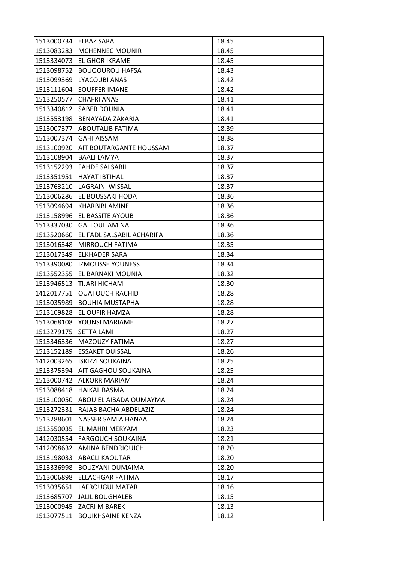| 1513000734 ELBAZ SARA |                            | 18.45 |
|-----------------------|----------------------------|-------|
| 1513083283            | <b>MCHENNEC MOUNIR</b>     | 18.45 |
| 1513334073            | <b>EL GHOR IKRAME</b>      | 18.45 |
| 1513098752            | <b>BOUQOUROU HAFSA</b>     | 18.43 |
| 1513099369            | LYACOUBI ANAS              | 18.42 |
| 1513111604            | SOUFFER IMANE              | 18.42 |
| 1513250577            | <b>CHAFRI ANAS</b>         | 18.41 |
| 1513340812            | <b>SABER DOUNIA</b>        | 18.41 |
| 1513553198            | <b>BENAYADA ZAKARIA</b>    | 18.41 |
| 1513007377            | <b>ABOUTALIB FATIMA</b>    | 18.39 |
| 1513007374            | <b>GAHI AISSAM</b>         | 18.38 |
| 1513100920            | AIT BOUTARGANTE HOUSSAM    | 18.37 |
| 1513108904            | <b>BAALI LAMYA</b>         | 18.37 |
| 1513152293            | <b>FAHDE SALSABIL</b>      | 18.37 |
| 1513351951            | <b>HAYAT IBTIHAL</b>       | 18.37 |
| 1513763210            | LAGRAINI WISSAL            | 18.37 |
| 1513006286            | EL BOUSSAKI HODA           | 18.36 |
| 1513094694            | <b>KHARBIBI AMINE</b>      | 18.36 |
| 1513158996            | EL BASSITE AYOUB           | 18.36 |
| 1513337030            | <b>GALLOUL AMINA</b>       | 18.36 |
| 1513520660            | EL FADL SALSABIL ACHARIFA  | 18.36 |
| 1513016348            | MIRROUCH FATIMA            | 18.35 |
| 1513017349            | <b>ELKHADER SARA</b>       | 18.34 |
| 1513390080            | <b>IZMOUSSE YOUNESS</b>    | 18.34 |
| 1513552355            | EL BARNAKI MOUNIA          | 18.32 |
| 1513946513            | TIJARI HICHAM              | 18.30 |
| 1412017751            | <b>OUATOUCH RACHID</b>     | 18.28 |
| 1513035989            | <b>BOUHIA MUSTAPHA</b>     | 18.28 |
| 1513109828            | EL OUFIR HAMZA             | 18.28 |
| 1513068108            | YOUNSI MARIAME             | 18.27 |
| 1513279175            | <b>SETTA LAMI</b>          | 18.27 |
| 1513346336            | <b>MAZOUZY FATIMA</b>      | 18.27 |
| 1513152189            | <b>ESSAKET OUISSAL</b>     | 18.26 |
| 1412003265            | <b>ISKIZZI SOUKAINA</b>    | 18.25 |
| 1513375394            | <b>AIT GAGHOU SOUKAINA</b> | 18.25 |
| 1513000742            | <b>ALKORR MARIAM</b>       | 18.24 |
| 1513088418            | <b>HAIKAL BASMA</b>        | 18.24 |
| 1513100050            | ABOU EL AIBADA OUMAYMA     | 18.24 |
| 1513272331            | RAJAB BACHA ABDELAZIZ      | 18.24 |
| 1513288601            | NASSER SAMIA HANAA         | 18.24 |
| 1513550035            | EL MAHRI MERYAM            | 18.23 |
| 1412030554            | <b>FARGOUCH SOUKAINA</b>   | 18.21 |
| 1412098632            | AMINA BENDRIOUICH          | 18.20 |
| 1513198033            | <b>ABACLI KAOUTAR</b>      | 18.20 |
| 1513336998            | BOUZYANI OUMAIMA           | 18.20 |
| 1513006898            | ELLACHGAR FATIMA           | 18.17 |
| 1513035651            | LAFROUGUI MATAR            | 18.16 |
| 1513685707            | <b>JALIL BOUGHALEB</b>     | 18.15 |
| 1513000945            | <b>ZACRI M BAREK</b>       | 18.13 |
| 1513077511            | <b>BOUIKHSAINE KENZA</b>   | 18.12 |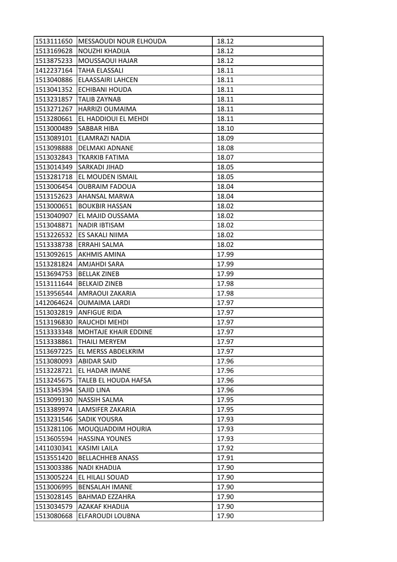| 1513111650 | MESSAOUDI NOUR ELHOUDA      | 18.12 |
|------------|-----------------------------|-------|
| 1513169628 | NOUZHI KHADIJA              | 18.12 |
| 1513875233 | MOUSSAOUI HAJAR             | 18.12 |
| 1412237164 | <b>TAHA ELASSALI</b>        | 18.11 |
| 1513040886 | ELAASSAIRI LAHCEN           | 18.11 |
| 1513041352 | ECHIBANI HOUDA              | 18.11 |
| 1513231857 | <b>TALIB ZAYNAB</b>         | 18.11 |
| 1513271267 | <b>HARRIZI OUMAIMA</b>      | 18.11 |
| 1513280661 | EL HADDIOUI EL MEHDI        | 18.11 |
| 1513000489 | SABBAR HIBA                 | 18.10 |
| 1513089101 | ELAMRAZI NADIA              | 18.09 |
| 1513098888 | DELMAKI ADNANE              | 18.08 |
| 1513032843 | TKARKIB FATIMA              | 18.07 |
| 1513014349 | SARKADI JIHAD               | 18.05 |
| 1513281718 | EL MOUDEN ISMAIL            | 18.05 |
| 1513006454 | <b>OUBRAIM FADOUA</b>       | 18.04 |
| 1513152623 | AHANSAL MARWA               | 18.04 |
| 1513000651 | <b>BOUKBIR HASSAN</b>       | 18.02 |
| 1513040907 | EL MAJID OUSSAMA            | 18.02 |
| 1513048871 | NADIR IBTISAM               | 18.02 |
| 1513226532 | ES SAKALI NIIMA             | 18.02 |
| 1513338738 | ERRAHI SALMA                | 18.02 |
| 1513092615 | <b>AKHMIS AMINA</b>         | 17.99 |
| 1513281824 | AMJAHDI SARA                | 17.99 |
| 1513694753 | <b>BELLAK ZINEB</b>         | 17.99 |
| 1513111644 | <b>BELKAID ZINEB</b>        | 17.98 |
| 1513956544 | AMRAOUI ZAKARIA             | 17.98 |
| 1412064624 | <b>OUMAIMA LARDI</b>        | 17.97 |
| 1513032819 | <b>ANFIGUE RIDA</b>         | 17.97 |
| 1513196830 | RAUCHDI MEHDI               | 17.97 |
| 1513333348 | <b>MOHTAJE KHAIR EDDINE</b> | 17.97 |
| 1513338861 | <b>THAILI MERYEM</b>        | 17.97 |
| 1513697225 | EL MERSS ABDELKRIM          | 17.97 |
| 1513080093 | <b>ABIDAR SAID</b>          | 17.96 |
| 1513228721 | EL HADAR IMANE              | 17.96 |
| 1513245675 | TALEB EL HOUDA HAFSA        | 17.96 |
| 1513345394 | SAJID LINA                  | 17.96 |
| 1513099130 | <b>NASSIH SALMA</b>         | 17.95 |
| 1513389974 | LAMSIFER ZAKARIA            | 17.95 |
| 1513231546 | <b>SADIK YOUSRA</b>         | 17.93 |
| 1513281106 | MOUQUADDIM HOURIA           | 17.93 |
| 1513605594 | <b>HASSINA YOUNES</b>       | 17.93 |
| 1411030341 | KASIMI LAILA                | 17.92 |
| 1513551420 | <b>BELLACHHEB ANASS</b>     | 17.91 |
| 1513003386 | <b>NADI KHADIJA</b>         | 17.90 |
| 1513005224 | EL HILALI SOUAD             | 17.90 |
| 1513006995 | <b>BENSALAH IMANE</b>       | 17.90 |
| 1513028145 | <b>BAHMAD EZZAHRA</b>       | 17.90 |
| 1513034579 | <b>AZAKAF KHADIJA</b>       | 17.90 |
| 1513080668 | ELFAROUDI LOUBNA            | 17.90 |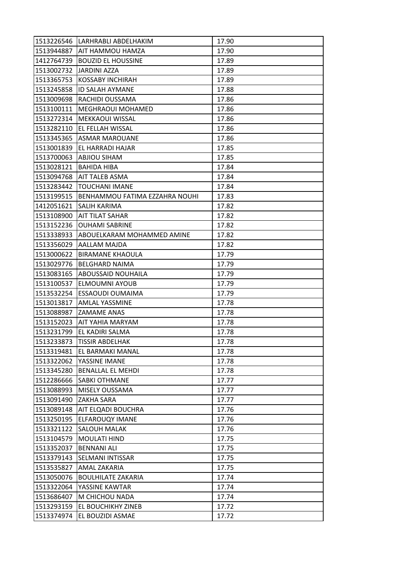|            | 1513226546   LARHRABLI ABDELHAKIM | 17.90 |
|------------|-----------------------------------|-------|
|            | 1513944887 AIT HAMMOU HAMZA       | 17.90 |
| 1412764739 | <b>BOUZID EL HOUSSINE</b>         | 17.89 |
|            | 1513002732 JJARDINI AZZA          | 17.89 |
| 1513365753 | <b>KOSSABY INCHIRAH</b>           | 17.89 |
| 1513245858 | <b>ID SALAH AYMANE</b>            | 17.88 |
| 1513009698 | RACHIDI OUSSAMA                   | 17.86 |
| 1513100111 | <b>MEGHRAOUI MOHAMED</b>          | 17.86 |
|            | 1513272314   MEKKAOUI WISSAL      | 17.86 |
| 1513282110 | EL FELLAH WISSAL                  | 17.86 |
|            | 1513345365 ASMAR MAROUANE         | 17.86 |
| 1513001839 | EL HARRADI HAJAR                  | 17.85 |
| 1513700063 | ABJIOU SIHAM                      | 17.85 |
| 1513028121 | <b>BAHIDA HIBA</b>                | 17.84 |
| 1513094768 | AIT TALEB ASMA                    | 17.84 |
|            | 1513283442  TOUCHANI IMANE        | 17.84 |
| 1513199515 | BENHAMMOU FATIMA EZZAHRA NOUHI    | 17.83 |
| 1412051621 | SALIH KARIMA                      | 17.82 |
| 1513108900 | <b>AIT TILAT SAHAR</b>            | 17.82 |
| 1513152236 | <b>OUHAMI SABRINE</b>             | 17.82 |
| 1513338933 | ABOUELKARAM MOHAMMED AMINE        | 17.82 |
| 1513356029 | AALLAM MAJDA                      | 17.82 |
| 1513000622 | <b>BIRAMANE KHAOULA</b>           | 17.79 |
| 1513029776 | <b>BELGHARD NAIMA</b>             | 17.79 |
| 1513083165 | <b>ABOUSSAID NOUHAILA</b>         | 17.79 |
| 1513100537 | <b>ELMOUMNI AYOUB</b>             | 17.79 |
| 1513532254 | ESSAOUDI OUMAIMA                  | 17.79 |
| 1513013817 | AMLAL YASSMINE                    | 17.78 |
| 1513088987 | <b>ZAMAME ANAS</b>                | 17.78 |
| 1513152023 | AIT YAHIA MARYAM                  | 17.78 |
| 1513231799 | EL KADIRI SALMA                   | 17.78 |
| 1513233873 | <b>TISSIR ABDELHAK</b>            | 17.78 |
| 1513319481 | EL BARMAKI MANAL                  | 17.78 |
| 1513322062 | YASSINE IMANE                     | 17.78 |
| 1513345280 | <b>BENALLAL EL MEHDI</b>          | 17.78 |
| 1512286666 | <b>SABKI OTHMANE</b>              | 17.77 |
| 1513088993 | MISELY OUSSAMA                    | 17.77 |
| 1513091490 | <b>ZAKHA SARA</b>                 | 17.77 |
| 1513089148 | AIT ELQADI BOUCHRA                | 17.76 |
| 1513250195 | <b>ELFAROUQY IMANE</b>            | 17.76 |
| 1513321122 | <b>SALOUH MALAK</b>               | 17.76 |
| 1513104579 | MOULATI HIND                      | 17.75 |
| 1513352037 | <b>BENNANI ALI</b>                | 17.75 |
| 1513379143 | SELMANI INTISSAR                  | 17.75 |
| 1513535827 | AMAL ZAKARIA                      | 17.75 |
| 1513050076 | <b>BOULHILATE ZAKARIA</b>         | 17.74 |
| 1513322064 | YASSINE KAWTAR                    | 17.74 |
| 1513686407 | M CHICHOU NADA                    | 17.74 |
| 1513293159 | EL BOUCHIKHY ZINEB                | 17.72 |
| 1513374974 | EL BOUZIDI ASMAE                  | 17.72 |
|            |                                   |       |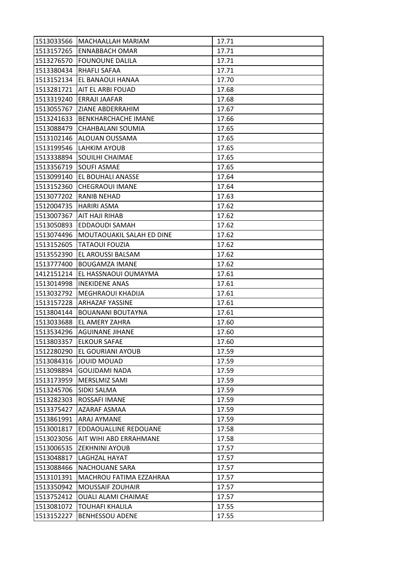| 1513033566 | MACHAALLAH MARIAM             | 17.71 |
|------------|-------------------------------|-------|
|            | 1513157265 ENNABBACH OMAR     | 17.71 |
| 1513276570 | <b>FOUNOUNE DALILA</b>        | 17.71 |
| 1513380434 | RHAFLI SAFAA                  | 17.71 |
| 1513152134 | EL BANAOUI HANAA              | 17.70 |
|            | 1513281721  AIT EL ARBI FOUAD | 17.68 |
|            | 1513319240 ERRAJI JAAFAR      | 17.68 |
| 1513055767 | ZIANE ABDERRAHIM              | 17.67 |
| 1513241633 | BENKHARCHACHE IMANE           | 17.66 |
| 1513088479 | CHAHBALANI SOUMIA             | 17.65 |
| 1513102146 | ALOUAN OUSSAMA                | 17.65 |
| 1513199546 | <b>LAHKIM AYOUB</b>           | 17.65 |
| 1513338894 | SOUILHI CHAIMAE               | 17.65 |
| 1513356719 | <b>SOUFI ASMAE</b>            | 17.65 |
| 1513099140 | <b>EL BOUHALI ANASSE</b>      | 17.64 |
|            | 1513152360 CHEGRAOUI IMANE    | 17.64 |
| 1513077202 | <b>RANIB NEHAD</b>            | 17.63 |
| 1512004735 | HARIRI ASMA                   | 17.62 |
|            | 1513007367 AIT HAJI RIHAB     | 17.62 |
| 1513050893 | EDDAOUDI SAMAH                | 17.62 |
| 1513074496 | MOUTAOUAKIL SALAH ED DINE     | 17.62 |
| 1513152605 | <b>TATAOUI FOUZIA</b>         | 17.62 |
| 1513552390 | EL AROUSSI BALSAM             | 17.62 |
| 1513777400 | <b>BOUGAMZA IMANE</b>         | 17.62 |
| 1412151214 | EL HASSNAOUI OUMAYMA          | 17.61 |
|            | 1513014998  INEKIDENE ANAS    | 17.61 |
| 1513032792 | MEGHRAOUI KHADIJA             | 17.61 |
| 1513157228 | <b>ARHAZAF YASSINE</b>        | 17.61 |
| 1513804144 | <b>BOUANANI BOUTAYNA</b>      | 17.61 |
| 1513033688 | EL AMERY ZAHRA                | 17.60 |
| 1513534296 | <b>AGUINANE JIHANE</b>        | 17.60 |
| 1513803357 | <b>ELKOUR SAFAE</b>           | 17.60 |
| 1512280290 | EL GOURIANI AYOUB             | 17.59 |
| 1513084316 | <b>JOUID MOUAD</b>            | 17.59 |
| 1513098894 | <b>GOUJDAMI NADA</b>          | 17.59 |
| 1513173959 | MERSLMIZ SAMI                 | 17.59 |
| 1513245706 | SIDKI SALMA                   | 17.59 |
| 1513282303 | ROSSAFI IMANE                 | 17.59 |
| 1513375427 | AZARAF ASMAA                  | 17.59 |
| 1513861991 | ARAJ AYMANE                   | 17.59 |
| 1513001817 | EDDAOUALLINE REDOUANE         | 17.58 |
| 1513023056 | AIT WIHI ABD ERRAHMANE        | 17.58 |
| 1513006535 | <b>ZEKHNINI AYOUB</b>         | 17.57 |
| 1513048817 | LAGHZAL HAYAT                 | 17.57 |
| 1513088466 | <b>NACHOUANE SARA</b>         | 17.57 |
| 1513101391 | MACHROU FATIMA EZZAHRAA       | 17.57 |
| 1513350942 | <b>MOUSSAIF ZOUHAIR</b>       | 17.57 |
| 1513752412 | <b>OUALI ALAMI CHAIMAE</b>    | 17.57 |
| 1513081072 | <b>TOUHAFI KHALILA</b>        | 17.55 |
| 1513152227 | <b>BENHESSOU ADENE</b>        | 17.55 |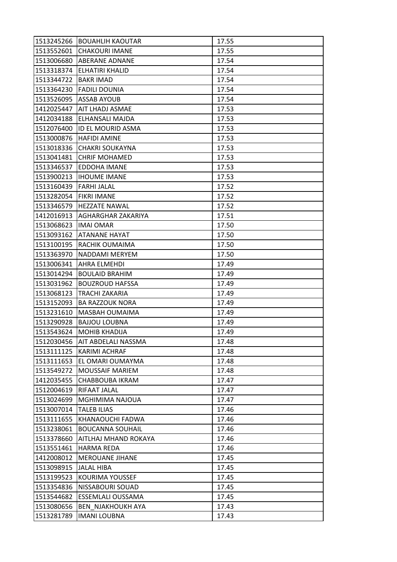| 1513245266 | <b>BOUAHLIH KAOUTAR</b>   | 17.55 |
|------------|---------------------------|-------|
| 1513552601 | <b>CHAKOURI IMANE</b>     | 17.55 |
| 1513006680 | <b>ABERANE ADNANE</b>     | 17.54 |
| 1513318374 | ELHATIRI KHALID           | 17.54 |
| 1513344722 | <b>BAKR IMAD</b>          | 17.54 |
| 1513364230 | <b>FADILI DOUNIA</b>      | 17.54 |
| 1513526095 | <b>ASSAB AYOUB</b>        | 17.54 |
| 1412025447 | AIT LHADJ ASMAE           | 17.53 |
| 1412034188 | <b>ELHANSALI MAJDA</b>    | 17.53 |
| 1512076400 | <b>ID EL MOURID ASMA</b>  | 17.53 |
| 1513000876 | <b>HAFIDI AMINE</b>       | 17.53 |
| 1513018336 | <b>CHAKRI SOUKAYNA</b>    | 17.53 |
| 1513041481 | <b>CHRIF MOHAMED</b>      | 17.53 |
| 1513346537 | EDDOHA IMANE              | 17.53 |
| 1513900213 | <b>IHOUME IMANE</b>       | 17.53 |
| 1513160439 | <b>FARHI JALAL</b>        | 17.52 |
| 1513282054 | <b>FIKRI IMANE</b>        | 17.52 |
| 1513346579 | <b>HEZZATE NAWAL</b>      | 17.52 |
| 1412016913 | <b>AGHARGHAR ZAKARIYA</b> | 17.51 |
| 1513068623 | <b>IMAI OMAR</b>          | 17.50 |
| 1513093162 | <b>ATANANE HAYAT</b>      | 17.50 |
| 1513100195 | RACHIK OUMAIMA            | 17.50 |
| 1513363970 | NADDAMI MERYEM            | 17.50 |
| 1513006341 | AHRA ELMEHDI              | 17.49 |
| 1513014294 | <b>BOULAID BRAHIM</b>     | 17.49 |
| 1513031962 | <b>BOUZROUD HAFSSA</b>    | 17.49 |
| 1513068123 | TRACHI ZAKARIA            | 17.49 |
| 1513152093 | <b>BA RAZZOUK NORA</b>    | 17.49 |
| 1513231610 | MASBAH OUMAIMA            | 17.49 |
| 1513290928 | <b>BAJJOU LOUBNA</b>      | 17.49 |
| 1513543624 | <b>MOHIB KHADIJA</b>      | 17.49 |
| 1512030456 | AIT ABDELALI NASSMA       | 17.48 |
| 1513111125 | <b>KARIMI ACHRAF</b>      | 17.48 |
| 1513111653 | EL OMARI OUMAYMA          | 17.48 |
| 1513549272 | <b>MOUSSAIF MARIEM</b>    | 17.48 |
| 1412035455 | CHABBOUBA IKRAM           | 17.47 |
| 1512004619 | RIFAAT JALAL              | 17.47 |
| 1513024699 | MGHIMIMA NAJOUA           | 17.47 |
| 1513007014 | <b>TALEB ILIAS</b>        | 17.46 |
| 1513111655 | KHANAOUCHI FADWA          | 17.46 |
| 1513238061 | <b>BOUCANNA SOUHAIL</b>   | 17.46 |
| 1513378660 | AITLHAJ MHAND ROKAYA      | 17.46 |
| 1513551461 | <b>HARMA REDA</b>         | 17.46 |
| 1412008012 | <b>MEROUANE JIHANE</b>    | 17.45 |
| 1513098915 | <b>JALAL HIBA</b>         | 17.45 |
| 1513199523 | KOURIMA YOUSSEF           | 17.45 |
| 1513354836 | NISSABOURI SOUAD          | 17.45 |
| 1513544682 | ESSEMLALI OUSSAMA         | 17.45 |
| 1513080656 | <b>BEN NJAKHOUKH AYA</b>  | 17.43 |
| 1513281789 | <b>IMANI LOUBNA</b>       | 17.43 |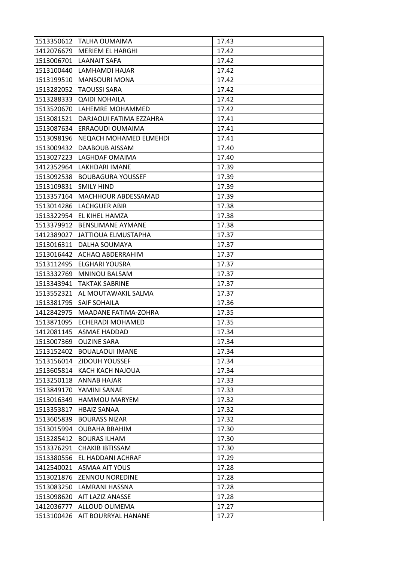|            | 1513350612 TALHA OUMAIMA      | 17.43 |
|------------|-------------------------------|-------|
|            | 1412076679   MERIEM EL HARGHI | 17.42 |
| 1513006701 | LAANAIT SAFA                  | 17.42 |
| 1513100440 | LAMHAMDI HAJAR                | 17.42 |
| 1513199510 | <b>MANSOURI MONA</b>          | 17.42 |
| 1513282052 | <b>TAOUSSI SARA</b>           | 17.42 |
| 1513288333 | <b>QAIDI NOHAILA</b>          | 17.42 |
| 1513520670 | LAHEMRE MOHAMMED              | 17.42 |
| 1513081521 | DARJAOUI FATIMA EZZAHRA       | 17.41 |
| 1513087634 | ERRAOUDI OUMAIMA              | 17.41 |
| 1513098196 | <b>NEQACH MOHAMED ELMEHDI</b> | 17.41 |
| 1513009432 | DAABOUB AISSAM                | 17.40 |
| 1513027223 | LAGHDAF OMAIMA                | 17.40 |
| 1412352964 | <b>LAKHDARI IMANE</b>         | 17.39 |
| 1513092538 | <b>BOUBAGURA YOUSSEF</b>      | 17.39 |
| 1513109831 | <b>SMILY HIND</b>             | 17.39 |
| 1513357164 | MACHHOUR ABDESSAMAD           | 17.39 |
| 1513014286 | <b>LACHGUER ABIR</b>          | 17.38 |
| 1513322954 | <b>EL KIHEL HAMZA</b>         | 17.38 |
| 1513379912 | <b>BENSLIMANE AYMANE</b>      | 17.38 |
| 1412389027 | JATTIOUA ELMUSTAPHA           | 17.37 |
| 1513016311 | DALHA SOUMAYA                 | 17.37 |
| 1513016442 | ACHAQ ABDERRAHIM              | 17.37 |
| 1513112495 | <b>ELGHARI YOUSRA</b>         | 17.37 |
| 1513332769 | MNINOU BALSAM                 | 17.37 |
|            | 1513343941   TAKTAK SABRINE   | 17.37 |
| 1513552321 | AL MOUTAWAKIL SALMA           | 17.37 |
| 1513381795 | <b>SAIF SOHAILA</b>           | 17.36 |
| 1412842975 | MAADANE FATIMA-ZOHRA          | 17.35 |
| 1513871095 | <b>ECHERADI MOHAMED</b>       | 17.35 |
| 1412081145 | ASMAE HADDAD                  | 17.34 |
| 1513007369 | <b>OUZINE SARA</b>            | 17.34 |
| 1513152402 | <b>BOUALAOUI IMANE</b>        | 17.34 |
| 1513156014 | <b>ZIDOUH YOUSSEF</b>         | 17.34 |
| 1513605814 | KACH KACH NAJOUA              | 17.34 |
| 1513250118 | ANNAB HAJAR                   | 17.33 |
| 1513849170 | YAMINI SANAE                  | 17.33 |
| 1513016349 | <b>HAMMOU MARYEM</b>          | 17.32 |
| 1513353817 | <b>HBAIZ SANAA</b>            | 17.32 |
| 1513605839 | <b>BOURASS NIZAR</b>          | 17.32 |
| 1513015994 | <b>OUBAHA BRAHIM</b>          | 17.30 |
| 1513285412 | <b>BOURAS ILHAM</b>           | 17.30 |
| 1513376291 | <b>CHAKIB IBTISSAM</b>        | 17.30 |
| 1513380556 | EL HADDANI ACHRAF             | 17.29 |
| 1412540021 | <b>ASMAA AIT YOUS</b>         | 17.28 |
| 1513021876 | <b>ZENNOU NOREDINE</b>        | 17.28 |
| 1513083250 | LAMRANI HASSNA                | 17.28 |
| 1513098620 | <b>AIT LAZIZ ANASSE</b>       | 17.28 |
| 1412036777 | ALLOUD OUMEMA                 | 17.27 |
| 1513100426 | AIT BOURRYAL HANANE           | 17.27 |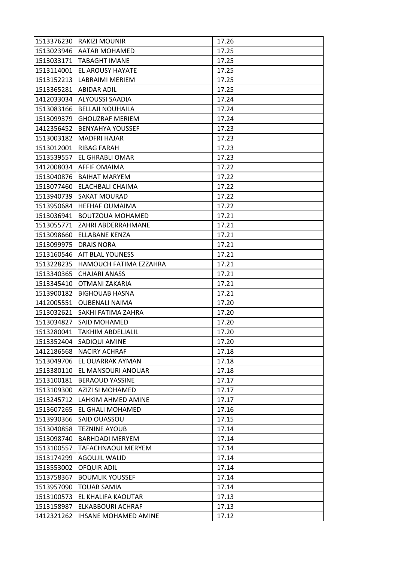|            | 1513376230 RAKIZI MOUNIR    | 17.26 |
|------------|-----------------------------|-------|
|            | 1513023946   AATAR MOHAMED  | 17.25 |
| 1513033171 | <b>TABAGHT IMANE</b>        | 17.25 |
| 1513114001 | EL AROUSY HAYATE            | 17.25 |
| 1513152213 | LABRAIMI MERIEM             | 17.25 |
| 1513365281 | <b>ABIDAR ADIL</b>          | 17.25 |
|            | 1412033034 ALYOUSSI SAADIA  | 17.24 |
| 1513083166 | <b>BELLAJI NOUHAILA</b>     | 17.24 |
| 1513099379 | <b>GHOUZRAF MERIEM</b>      | 17.24 |
| 1412356452 | <b>BENYAHYA YOUSSEF</b>     | 17.23 |
| 1513003182 | <b>MADFRI HAJAR</b>         | 17.23 |
| 1513012001 | <b>RIBAG FARAH</b>          | 17.23 |
| 1513539557 | EL GHRABLI OMAR             | 17.23 |
|            | 1412008034 AFFIF OMAIMA     | 17.22 |
| 1513040876 | <b>BAIHAT MARYEM</b>        | 17.22 |
| 1513077460 | ELACHBALI CHAIMA            | 17.22 |
| 1513940739 | <b>SAKAT MOURAD</b>         | 17.22 |
| 1513950684 | <b>HEFHAF OUMAIMA</b>       | 17.22 |
| 1513036941 | <b>BOUTZOUA MOHAMED</b>     | 17.21 |
| 1513055771 | ZAHRI ABDERRAHMANE          | 17.21 |
| 1513098660 | ELLABANE KENZA              | 17.21 |
| 1513099975 | <b>DRAIS NORA</b>           | 17.21 |
| 1513160546 | <b>AIT BLAL YOUNESS</b>     | 17.21 |
| 1513228235 | HAMOUCH FATIMA EZZAHRA      | 17.21 |
| 1513340365 | <b>CHAJARI ANASS</b>        | 17.21 |
| 1513345410 | OTMANI ZAKARIA              | 17.21 |
| 1513900182 | <b>BIGHOUAB HASNA</b>       | 17.21 |
| 1412005551 | <b>OUBENALI NAIMA</b>       | 17.20 |
| 1513032621 | SAKHI FATIMA ZAHRA          | 17.20 |
| 1513034827 | SAID MOHAMED                | 17.20 |
| 1513280041 | <b>TAKHIM ABDELJALIL</b>    | 17.20 |
| 1513352404 | SADIQUI AMINE               | 17.20 |
| 1412186568 | <b>NACIRY ACHRAF</b>        | 17.18 |
| 1513049706 | EL OUARRAK AYMAN            | 17.18 |
| 1513380110 | EL MANSOURI ANOUAR          | 17.18 |
| 1513100181 | <b>BERAOUD YASSINE</b>      | 17.17 |
| 1513109300 | <b>AZIZI SI MOHAMED</b>     | 17.17 |
| 1513245712 | LAHKIM AHMED AMINE          | 17.17 |
| 1513607265 | EL GHALI MOHAMED            | 17.16 |
| 1513930366 | SAID OUASSOU                | 17.15 |
| 1513040858 | <b>TEZNINE AYOUB</b>        | 17.14 |
| 1513098740 | <b>BARHDADI MERYEM</b>      | 17.14 |
| 1513100557 | <b>TAFACHNAOUI MERYEM</b>   | 17.14 |
| 1513174299 | <b>AGOUJIL WALID</b>        | 17.14 |
| 1513553002 | <b>OFQUIR ADIL</b>          | 17.14 |
| 1513758367 | <b>BOUMLIK YOUSSEF</b>      | 17.14 |
| 1513957090 | <b>TOUAB SAMIA</b>          | 17.14 |
| 1513100573 | EL KHALIFA KAOUTAR          | 17.13 |
| 1513158987 | ELKABBOURI ACHRAF           | 17.13 |
| 1412321262 | <b>IHSANE MOHAMED AMINE</b> | 17.12 |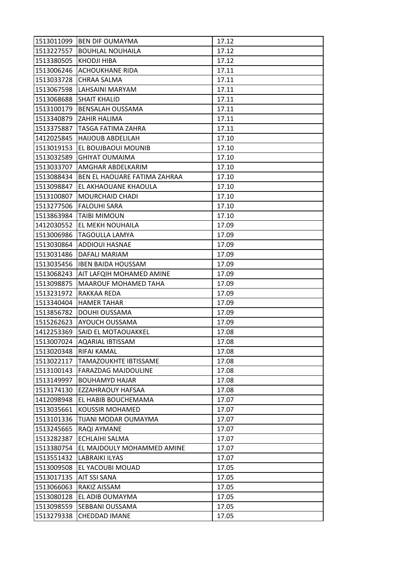| 1513011099 | <b>BEN DIF OUMAYMA</b>       | 17.12 |
|------------|------------------------------|-------|
| 1513227557 | <b>BOUHLAL NOUHAILA</b>      | 17.12 |
| 1513380505 | <b>KHODJI HIBA</b>           | 17.12 |
| 1513006246 | <b>ACHOUKHANE RIDA</b>       | 17.11 |
| 1513033728 | CHRAA SALMA                  | 17.11 |
| 1513067598 | LAHSAINI MARYAM              | 17.11 |
| 1513068688 | <b>SHAIT KHALID</b>          | 17.11 |
| 1513100179 | <b>BENSALAH OUSSAMA</b>      | 17.11 |
| 1513340879 | <b>ZAHIR HALIMA</b>          | 17.11 |
| 1513375887 | TASGA FATIMA ZAHRA           | 17.11 |
| 1412025845 | <b>HAIJOUB ABDELILAH</b>     | 17.10 |
| 1513019153 | EL BOUJBAOUI MOUNIB          | 17.10 |
| 1513032589 | <b>GHIYAT OUMAIMA</b>        | 17.10 |
| 1513033707 | AMGHAR ABDELKARIM            | 17.10 |
| 1513088434 | BEN EL HAOUARE FATIMA ZAHRAA | 17.10 |
| 1513098847 | EL AKHAOUANE KHAOULA         | 17.10 |
| 1513100807 | <b>MOURCHAID CHADI</b>       | 17.10 |
| 1513277506 | <b>FALOUHI SARA</b>          | 17.10 |
| 1513863984 | <b>TAIBI MIMOUN</b>          | 17.10 |
| 1412030552 | EL MEKH NOUHAILA             | 17.09 |
| 1513006986 | <b>TAGOULLA LAMYA</b>        | 17.09 |
| 1513030864 | ADDIOUI HASNAE               | 17.09 |
| 1513031486 | DAFALI MARIAM                | 17.09 |
| 1513035456 | <b>IBEN BAIDA HOUSSAM</b>    | 17.09 |
| 1513068243 | AIT LAFQIH MOHAMED AMINE     | 17.09 |
| 1513098875 | MAAROUF MOHAMED TAHA         | 17.09 |
| 1513231972 | RAKKAA REDA                  | 17.09 |
| 1513340404 | <b>HAMER TAHAR</b>           | 17.09 |
| 1513856782 | <b>DOUHI OUSSAMA</b>         | 17.09 |
| 1515262623 | AYOUCH OUSSAMA               | 17.09 |
| 1412253369 | SAID EL MOTAOUAKKEL          | 17.08 |
| 1513007024 | <b>AQARIAL IBTISSAM</b>      | 17.08 |
| 1513020348 | RIFAI KAMAL                  | 17.08 |
| 1513022117 | TAMAZOUKHTE IBTISSAME        | 17.08 |
| 1513100143 | <b>FARAZDAG MAJDOULINE</b>   | 17.08 |
| 1513149997 | <b>BOUHAMYD HAJAR</b>        | 17.08 |
| 1513174130 | EZZAHRAOUY HAFSAA            | 17.08 |
| 1412098948 | EL HABIB BOUCHEMAMA          | 17.07 |
| 1513035661 | KOUSSIR MOHAMED              | 17.07 |
| 1513101336 | TIJANI MODAR OUMAYMA         | 17.07 |
| 1513245665 | RAQI AYMANE                  | 17.07 |
| 1513282387 | <b>ECHLAIHI SALMA</b>        | 17.07 |
| 1513380754 | EL MAJDOULY MOHAMMED AMINE   | 17.07 |
| 1513551432 | <b>LABRAIKI ILYAS</b>        | 17.07 |
| 1513009508 | EL YACOUBI MOUAD             | 17.05 |
| 1513017135 | AIT SSI SANA                 | 17.05 |
| 1513066063 | RAKIZ AISSAM                 | 17.05 |
| 1513080128 | EL ADIB OUMAYMA              | 17.05 |
|            |                              |       |
| 1513098559 | SEBBANI OUSSAMA              | 17.05 |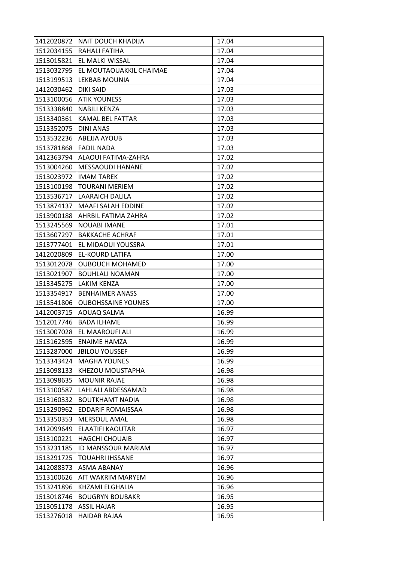| 1412020872 | <b>NAIT DOUCH KHADIJA</b> | 17.04 |
|------------|---------------------------|-------|
| 1512034155 | RAHALI FATIHA             | 17.04 |
| 1513015821 | EL MALKI WISSAL           | 17.04 |
| 1513032795 | EL MOUTAOUAKKIL CHAIMAE   | 17.04 |
| 1513199513 | LEKBAB MOUNIA             | 17.04 |
| 1412030462 | DIKI SAID                 | 17.03 |
|            | 1513100056 ATIK YOUNESS   | 17.03 |
| 1513338840 | <b>NABILI KENZA</b>       | 17.03 |
| 1513340361 | KAMAL BEL FATTAR          | 17.03 |
| 1513352075 | DINI ANAS                 | 17.03 |
|            | 1513532236 ABEJJA AYOUB   | 17.03 |
| 1513781868 | <b>FADIL NADA</b>         | 17.03 |
| 1412363794 | ALAOUI FATIMA-ZAHRA       | 17.02 |
| 1513004260 | <b>MESSAOUDI HANANE</b>   | 17.02 |
| 1513023972 | <b>IMAM TAREK</b>         | 17.02 |
| 1513100198 | <b>TOURANI MERIEM</b>     | 17.02 |
| 1513536717 | <b>LAARAICH DALILA</b>    | 17.02 |
| 1513874137 | <b>MAAFI SALAH EDDINE</b> | 17.02 |
| 1513900188 | AHRBIL FATIMA ZAHRA       | 17.02 |
| 1513245569 | <b>NOUABI IMANE</b>       | 17.01 |
| 1513607297 | <b>BAKKACHE ACHRAF</b>    | 17.01 |
| 1513777401 | EL MIDAOUI YOUSSRA        | 17.01 |
| 1412020809 | <b>EL-KOURD LATIFA</b>    | 17.00 |
| 1513012078 | <b>OUBOUCH MOHAMED</b>    | 17.00 |
| 1513021907 | <b>BOUHLALI NOAMAN</b>    | 17.00 |
| 1513345275 | <b>LAKIM KENZA</b>        | 17.00 |
| 1513354917 | <b>BENHAIMER ANASS</b>    | 17.00 |
| 1513541806 | <b>OUBOHSSAINE YOUNES</b> | 17.00 |
| 1412003715 | AOUAQ SALMA               | 16.99 |
| 1512017746 | <b>BADA ILHAME</b>        | 16.99 |
| 1513007028 | EL MAAROUFI ALI           | 16.99 |
| 1513162595 | <b>ENAIME HAMZA</b>       | 16.99 |
| 1513287000 | <b>JBILOU YOUSSEF</b>     | 16.99 |
| 1513343424 | <b>MAGHA YOUNES</b>       | 16.99 |
| 1513098133 | KHEZOU MOUSTAPHA          | 16.98 |
| 1513098635 | <b>MOUNIR RAJAE</b>       | 16.98 |
| 1513100587 | LAHLALI ABDESSAMAD        | 16.98 |
| 1513160332 | <b>BOUTKHAMT NADIA</b>    | 16.98 |
| 1513290962 | EDDARIF ROMAISSAA         | 16.98 |
| 1513350353 | <b>MERSOUL AMAL</b>       | 16.98 |
| 1412099649 | ELAATIFI KAOUTAR          | 16.97 |
| 1513100221 | <b>HAGCHI CHOUAIB</b>     | 16.97 |
| 1513231185 | ID MANSSOUR MARIAM        | 16.97 |
| 1513291725 | <b>TOUAHRI IHSSANE</b>    | 16.97 |
| 1412088373 | ASMA ABANAY               | 16.96 |
| 1513100626 | AIT WAKRIM MARYEM         | 16.96 |
| 1513241896 | KHZAMI ELGHALIA           | 16.96 |
| 1513018746 | <b>BOUGRYN BOUBAKR</b>    | 16.95 |
| 1513051178 | <b>ASSIL HAJAR</b>        | 16.95 |
| 1513276018 | HAIDAR RAJAA              | 16.95 |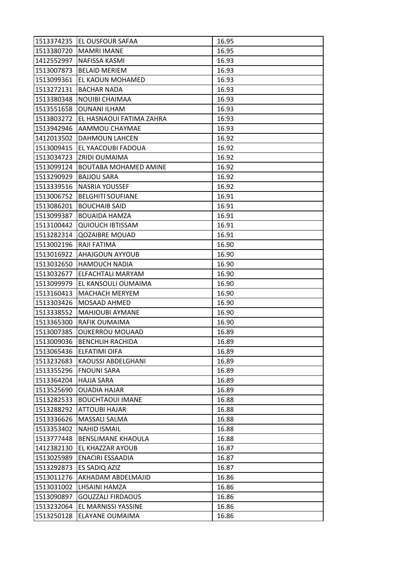| 1513380720<br><b>MAMRI IMANE</b><br>16.95<br>NAFISSA KASMI<br>1412552997<br>16.93<br>1513007873<br><b>BELAID MERIEM</b><br>16.93<br>16.93<br>1513099361<br>EL KAOUN MOHAMED<br>1513272131<br><b>BACHAR NADA</b><br>16.93<br>16.93<br>1513380348<br><b>NOUIBI CHAIMAA</b><br>1513551658<br><b>OUNANI ILHAM</b><br>16.93<br>1513803272<br>EL HASNAOUI FATIMA ZAHRA<br>16.93<br>1513942946<br><b>AAMMOU CHAYMAE</b><br>16.93<br>1412013502<br><b>DAHMOUN LAHCEN</b><br>16.92<br>16.92<br>1513009415<br>EL YAACOUBI FADOUA<br>1513034723<br>IZRIDI OUMAIMA<br>16.92<br>1513099124<br>BOUTABA MOHAMED AMINE<br>16.92<br>1513290929<br><b>BAJJOU SARA</b><br>16.92<br>1513339516<br>NASRIA YOUSSEF<br>16.92<br>16.91<br>1513006752<br><b>BELGHITI SOUFIANE</b><br>1513086201<br><b>BOUCHAIB SAID</b><br>16.91<br><b>BOUAIDA HAMZA</b><br>16.91<br>1513099387<br><b>QUIOUCH IBTISSAM</b><br>1513100442<br>16.91<br><b>QOZAIBRE MOUAD</b><br>16.91<br>1513282314<br>RAJI FATIMA<br>1513002196<br>16.90<br>1513016922<br>AHAJGOUN AYYOUB<br>16.90<br><b>HAMOUCH NADIA</b><br>16.90<br>1513032650<br>1513032677<br>ELFACHTALI MARYAM<br>16.90<br>16.90<br>1513099979<br>EL KANSOULI OUMAIMA<br>1513160413<br>16.90<br><b>MACHACH MERYEM</b><br>1513303426<br><b>MOSAAD AHMED</b><br>16.90<br>16.90<br>1513338552<br><b>MAHJOUBI AYMANE</b><br>1513365300<br>RAFIK OUMAIMA<br>16.90<br>1513007385<br><b>OUKERROU MOUAAD</b><br>16.89<br>1513009036<br>16.89<br><b>BENCHLIH RACHIDA</b><br>1513065436<br><b>ELFATIMI OIFA</b><br>16.89<br>1513232683<br>KAOUSSI ABDELGHANI<br>16.89<br>1513355296<br><b>FNOUNI SARA</b><br>16.89<br>1513364204<br><b>HAJJA SARA</b><br>16.89<br>1513525690<br><b>OUADIA HAJAR</b><br>16.89<br>1513282533<br><b>BOUCHTAOUI IMANE</b><br>16.88<br>1513288292<br><b>ATTOUBI HAJAR</b><br>16.88<br>MASSALI SALMA<br>1513336626<br>16.88<br>1513353402<br><b>NAHID ISMAIL</b><br>16.88<br>1513777448<br>BENSLIMANE KHAOULA<br>16.88<br>16.87<br>1412382130<br>EL KHAZZAR AYOUB<br>1513025989<br>ENACIRI ESSAADIA<br>16.87<br>1513292873<br>ES SADIQ AZIZ<br>16.87<br>1513011276<br>AKHADAM ABDELMAJID<br>16.86<br>LHSAINI HAMZA<br>1513031002<br>16.86<br>1513090897<br><b>GOUZZALI FIRDAOUS</b><br>16.86<br>1513232064<br>EL MARNISSI YASSINE<br>16.86<br>1513250128<br>ELAYANE OUMAIMA<br>16.86 | 1513374235 | EL OUSFOUR SAFAA | 16.95 |
|------------------------------------------------------------------------------------------------------------------------------------------------------------------------------------------------------------------------------------------------------------------------------------------------------------------------------------------------------------------------------------------------------------------------------------------------------------------------------------------------------------------------------------------------------------------------------------------------------------------------------------------------------------------------------------------------------------------------------------------------------------------------------------------------------------------------------------------------------------------------------------------------------------------------------------------------------------------------------------------------------------------------------------------------------------------------------------------------------------------------------------------------------------------------------------------------------------------------------------------------------------------------------------------------------------------------------------------------------------------------------------------------------------------------------------------------------------------------------------------------------------------------------------------------------------------------------------------------------------------------------------------------------------------------------------------------------------------------------------------------------------------------------------------------------------------------------------------------------------------------------------------------------------------------------------------------------------------------------------------------------------------------------------------------------------------------------------------------------------------------------------------------------------------------------------------------------------------------------------------------------------------------------------------------------------------|------------|------------------|-------|
|                                                                                                                                                                                                                                                                                                                                                                                                                                                                                                                                                                                                                                                                                                                                                                                                                                                                                                                                                                                                                                                                                                                                                                                                                                                                                                                                                                                                                                                                                                                                                                                                                                                                                                                                                                                                                                                                                                                                                                                                                                                                                                                                                                                                                                                                                                                  |            |                  |       |
|                                                                                                                                                                                                                                                                                                                                                                                                                                                                                                                                                                                                                                                                                                                                                                                                                                                                                                                                                                                                                                                                                                                                                                                                                                                                                                                                                                                                                                                                                                                                                                                                                                                                                                                                                                                                                                                                                                                                                                                                                                                                                                                                                                                                                                                                                                                  |            |                  |       |
|                                                                                                                                                                                                                                                                                                                                                                                                                                                                                                                                                                                                                                                                                                                                                                                                                                                                                                                                                                                                                                                                                                                                                                                                                                                                                                                                                                                                                                                                                                                                                                                                                                                                                                                                                                                                                                                                                                                                                                                                                                                                                                                                                                                                                                                                                                                  |            |                  |       |
|                                                                                                                                                                                                                                                                                                                                                                                                                                                                                                                                                                                                                                                                                                                                                                                                                                                                                                                                                                                                                                                                                                                                                                                                                                                                                                                                                                                                                                                                                                                                                                                                                                                                                                                                                                                                                                                                                                                                                                                                                                                                                                                                                                                                                                                                                                                  |            |                  |       |
|                                                                                                                                                                                                                                                                                                                                                                                                                                                                                                                                                                                                                                                                                                                                                                                                                                                                                                                                                                                                                                                                                                                                                                                                                                                                                                                                                                                                                                                                                                                                                                                                                                                                                                                                                                                                                                                                                                                                                                                                                                                                                                                                                                                                                                                                                                                  |            |                  |       |
|                                                                                                                                                                                                                                                                                                                                                                                                                                                                                                                                                                                                                                                                                                                                                                                                                                                                                                                                                                                                                                                                                                                                                                                                                                                                                                                                                                                                                                                                                                                                                                                                                                                                                                                                                                                                                                                                                                                                                                                                                                                                                                                                                                                                                                                                                                                  |            |                  |       |
|                                                                                                                                                                                                                                                                                                                                                                                                                                                                                                                                                                                                                                                                                                                                                                                                                                                                                                                                                                                                                                                                                                                                                                                                                                                                                                                                                                                                                                                                                                                                                                                                                                                                                                                                                                                                                                                                                                                                                                                                                                                                                                                                                                                                                                                                                                                  |            |                  |       |
|                                                                                                                                                                                                                                                                                                                                                                                                                                                                                                                                                                                                                                                                                                                                                                                                                                                                                                                                                                                                                                                                                                                                                                                                                                                                                                                                                                                                                                                                                                                                                                                                                                                                                                                                                                                                                                                                                                                                                                                                                                                                                                                                                                                                                                                                                                                  |            |                  |       |
|                                                                                                                                                                                                                                                                                                                                                                                                                                                                                                                                                                                                                                                                                                                                                                                                                                                                                                                                                                                                                                                                                                                                                                                                                                                                                                                                                                                                                                                                                                                                                                                                                                                                                                                                                                                                                                                                                                                                                                                                                                                                                                                                                                                                                                                                                                                  |            |                  |       |
|                                                                                                                                                                                                                                                                                                                                                                                                                                                                                                                                                                                                                                                                                                                                                                                                                                                                                                                                                                                                                                                                                                                                                                                                                                                                                                                                                                                                                                                                                                                                                                                                                                                                                                                                                                                                                                                                                                                                                                                                                                                                                                                                                                                                                                                                                                                  |            |                  |       |
|                                                                                                                                                                                                                                                                                                                                                                                                                                                                                                                                                                                                                                                                                                                                                                                                                                                                                                                                                                                                                                                                                                                                                                                                                                                                                                                                                                                                                                                                                                                                                                                                                                                                                                                                                                                                                                                                                                                                                                                                                                                                                                                                                                                                                                                                                                                  |            |                  |       |
|                                                                                                                                                                                                                                                                                                                                                                                                                                                                                                                                                                                                                                                                                                                                                                                                                                                                                                                                                                                                                                                                                                                                                                                                                                                                                                                                                                                                                                                                                                                                                                                                                                                                                                                                                                                                                                                                                                                                                                                                                                                                                                                                                                                                                                                                                                                  |            |                  |       |
|                                                                                                                                                                                                                                                                                                                                                                                                                                                                                                                                                                                                                                                                                                                                                                                                                                                                                                                                                                                                                                                                                                                                                                                                                                                                                                                                                                                                                                                                                                                                                                                                                                                                                                                                                                                                                                                                                                                                                                                                                                                                                                                                                                                                                                                                                                                  |            |                  |       |
|                                                                                                                                                                                                                                                                                                                                                                                                                                                                                                                                                                                                                                                                                                                                                                                                                                                                                                                                                                                                                                                                                                                                                                                                                                                                                                                                                                                                                                                                                                                                                                                                                                                                                                                                                                                                                                                                                                                                                                                                                                                                                                                                                                                                                                                                                                                  |            |                  |       |
|                                                                                                                                                                                                                                                                                                                                                                                                                                                                                                                                                                                                                                                                                                                                                                                                                                                                                                                                                                                                                                                                                                                                                                                                                                                                                                                                                                                                                                                                                                                                                                                                                                                                                                                                                                                                                                                                                                                                                                                                                                                                                                                                                                                                                                                                                                                  |            |                  |       |
|                                                                                                                                                                                                                                                                                                                                                                                                                                                                                                                                                                                                                                                                                                                                                                                                                                                                                                                                                                                                                                                                                                                                                                                                                                                                                                                                                                                                                                                                                                                                                                                                                                                                                                                                                                                                                                                                                                                                                                                                                                                                                                                                                                                                                                                                                                                  |            |                  |       |
|                                                                                                                                                                                                                                                                                                                                                                                                                                                                                                                                                                                                                                                                                                                                                                                                                                                                                                                                                                                                                                                                                                                                                                                                                                                                                                                                                                                                                                                                                                                                                                                                                                                                                                                                                                                                                                                                                                                                                                                                                                                                                                                                                                                                                                                                                                                  |            |                  |       |
|                                                                                                                                                                                                                                                                                                                                                                                                                                                                                                                                                                                                                                                                                                                                                                                                                                                                                                                                                                                                                                                                                                                                                                                                                                                                                                                                                                                                                                                                                                                                                                                                                                                                                                                                                                                                                                                                                                                                                                                                                                                                                                                                                                                                                                                                                                                  |            |                  |       |
|                                                                                                                                                                                                                                                                                                                                                                                                                                                                                                                                                                                                                                                                                                                                                                                                                                                                                                                                                                                                                                                                                                                                                                                                                                                                                                                                                                                                                                                                                                                                                                                                                                                                                                                                                                                                                                                                                                                                                                                                                                                                                                                                                                                                                                                                                                                  |            |                  |       |
|                                                                                                                                                                                                                                                                                                                                                                                                                                                                                                                                                                                                                                                                                                                                                                                                                                                                                                                                                                                                                                                                                                                                                                                                                                                                                                                                                                                                                                                                                                                                                                                                                                                                                                                                                                                                                                                                                                                                                                                                                                                                                                                                                                                                                                                                                                                  |            |                  |       |
|                                                                                                                                                                                                                                                                                                                                                                                                                                                                                                                                                                                                                                                                                                                                                                                                                                                                                                                                                                                                                                                                                                                                                                                                                                                                                                                                                                                                                                                                                                                                                                                                                                                                                                                                                                                                                                                                                                                                                                                                                                                                                                                                                                                                                                                                                                                  |            |                  |       |
|                                                                                                                                                                                                                                                                                                                                                                                                                                                                                                                                                                                                                                                                                                                                                                                                                                                                                                                                                                                                                                                                                                                                                                                                                                                                                                                                                                                                                                                                                                                                                                                                                                                                                                                                                                                                                                                                                                                                                                                                                                                                                                                                                                                                                                                                                                                  |            |                  |       |
|                                                                                                                                                                                                                                                                                                                                                                                                                                                                                                                                                                                                                                                                                                                                                                                                                                                                                                                                                                                                                                                                                                                                                                                                                                                                                                                                                                                                                                                                                                                                                                                                                                                                                                                                                                                                                                                                                                                                                                                                                                                                                                                                                                                                                                                                                                                  |            |                  |       |
|                                                                                                                                                                                                                                                                                                                                                                                                                                                                                                                                                                                                                                                                                                                                                                                                                                                                                                                                                                                                                                                                                                                                                                                                                                                                                                                                                                                                                                                                                                                                                                                                                                                                                                                                                                                                                                                                                                                                                                                                                                                                                                                                                                                                                                                                                                                  |            |                  |       |
|                                                                                                                                                                                                                                                                                                                                                                                                                                                                                                                                                                                                                                                                                                                                                                                                                                                                                                                                                                                                                                                                                                                                                                                                                                                                                                                                                                                                                                                                                                                                                                                                                                                                                                                                                                                                                                                                                                                                                                                                                                                                                                                                                                                                                                                                                                                  |            |                  |       |
|                                                                                                                                                                                                                                                                                                                                                                                                                                                                                                                                                                                                                                                                                                                                                                                                                                                                                                                                                                                                                                                                                                                                                                                                                                                                                                                                                                                                                                                                                                                                                                                                                                                                                                                                                                                                                                                                                                                                                                                                                                                                                                                                                                                                                                                                                                                  |            |                  |       |
|                                                                                                                                                                                                                                                                                                                                                                                                                                                                                                                                                                                                                                                                                                                                                                                                                                                                                                                                                                                                                                                                                                                                                                                                                                                                                                                                                                                                                                                                                                                                                                                                                                                                                                                                                                                                                                                                                                                                                                                                                                                                                                                                                                                                                                                                                                                  |            |                  |       |
|                                                                                                                                                                                                                                                                                                                                                                                                                                                                                                                                                                                                                                                                                                                                                                                                                                                                                                                                                                                                                                                                                                                                                                                                                                                                                                                                                                                                                                                                                                                                                                                                                                                                                                                                                                                                                                                                                                                                                                                                                                                                                                                                                                                                                                                                                                                  |            |                  |       |
|                                                                                                                                                                                                                                                                                                                                                                                                                                                                                                                                                                                                                                                                                                                                                                                                                                                                                                                                                                                                                                                                                                                                                                                                                                                                                                                                                                                                                                                                                                                                                                                                                                                                                                                                                                                                                                                                                                                                                                                                                                                                                                                                                                                                                                                                                                                  |            |                  |       |
|                                                                                                                                                                                                                                                                                                                                                                                                                                                                                                                                                                                                                                                                                                                                                                                                                                                                                                                                                                                                                                                                                                                                                                                                                                                                                                                                                                                                                                                                                                                                                                                                                                                                                                                                                                                                                                                                                                                                                                                                                                                                                                                                                                                                                                                                                                                  |            |                  |       |
|                                                                                                                                                                                                                                                                                                                                                                                                                                                                                                                                                                                                                                                                                                                                                                                                                                                                                                                                                                                                                                                                                                                                                                                                                                                                                                                                                                                                                                                                                                                                                                                                                                                                                                                                                                                                                                                                                                                                                                                                                                                                                                                                                                                                                                                                                                                  |            |                  |       |
|                                                                                                                                                                                                                                                                                                                                                                                                                                                                                                                                                                                                                                                                                                                                                                                                                                                                                                                                                                                                                                                                                                                                                                                                                                                                                                                                                                                                                                                                                                                                                                                                                                                                                                                                                                                                                                                                                                                                                                                                                                                                                                                                                                                                                                                                                                                  |            |                  |       |
|                                                                                                                                                                                                                                                                                                                                                                                                                                                                                                                                                                                                                                                                                                                                                                                                                                                                                                                                                                                                                                                                                                                                                                                                                                                                                                                                                                                                                                                                                                                                                                                                                                                                                                                                                                                                                                                                                                                                                                                                                                                                                                                                                                                                                                                                                                                  |            |                  |       |
|                                                                                                                                                                                                                                                                                                                                                                                                                                                                                                                                                                                                                                                                                                                                                                                                                                                                                                                                                                                                                                                                                                                                                                                                                                                                                                                                                                                                                                                                                                                                                                                                                                                                                                                                                                                                                                                                                                                                                                                                                                                                                                                                                                                                                                                                                                                  |            |                  |       |
|                                                                                                                                                                                                                                                                                                                                                                                                                                                                                                                                                                                                                                                                                                                                                                                                                                                                                                                                                                                                                                                                                                                                                                                                                                                                                                                                                                                                                                                                                                                                                                                                                                                                                                                                                                                                                                                                                                                                                                                                                                                                                                                                                                                                                                                                                                                  |            |                  |       |
|                                                                                                                                                                                                                                                                                                                                                                                                                                                                                                                                                                                                                                                                                                                                                                                                                                                                                                                                                                                                                                                                                                                                                                                                                                                                                                                                                                                                                                                                                                                                                                                                                                                                                                                                                                                                                                                                                                                                                                                                                                                                                                                                                                                                                                                                                                                  |            |                  |       |
|                                                                                                                                                                                                                                                                                                                                                                                                                                                                                                                                                                                                                                                                                                                                                                                                                                                                                                                                                                                                                                                                                                                                                                                                                                                                                                                                                                                                                                                                                                                                                                                                                                                                                                                                                                                                                                                                                                                                                                                                                                                                                                                                                                                                                                                                                                                  |            |                  |       |
|                                                                                                                                                                                                                                                                                                                                                                                                                                                                                                                                                                                                                                                                                                                                                                                                                                                                                                                                                                                                                                                                                                                                                                                                                                                                                                                                                                                                                                                                                                                                                                                                                                                                                                                                                                                                                                                                                                                                                                                                                                                                                                                                                                                                                                                                                                                  |            |                  |       |
|                                                                                                                                                                                                                                                                                                                                                                                                                                                                                                                                                                                                                                                                                                                                                                                                                                                                                                                                                                                                                                                                                                                                                                                                                                                                                                                                                                                                                                                                                                                                                                                                                                                                                                                                                                                                                                                                                                                                                                                                                                                                                                                                                                                                                                                                                                                  |            |                  |       |
|                                                                                                                                                                                                                                                                                                                                                                                                                                                                                                                                                                                                                                                                                                                                                                                                                                                                                                                                                                                                                                                                                                                                                                                                                                                                                                                                                                                                                                                                                                                                                                                                                                                                                                                                                                                                                                                                                                                                                                                                                                                                                                                                                                                                                                                                                                                  |            |                  |       |
|                                                                                                                                                                                                                                                                                                                                                                                                                                                                                                                                                                                                                                                                                                                                                                                                                                                                                                                                                                                                                                                                                                                                                                                                                                                                                                                                                                                                                                                                                                                                                                                                                                                                                                                                                                                                                                                                                                                                                                                                                                                                                                                                                                                                                                                                                                                  |            |                  |       |
|                                                                                                                                                                                                                                                                                                                                                                                                                                                                                                                                                                                                                                                                                                                                                                                                                                                                                                                                                                                                                                                                                                                                                                                                                                                                                                                                                                                                                                                                                                                                                                                                                                                                                                                                                                                                                                                                                                                                                                                                                                                                                                                                                                                                                                                                                                                  |            |                  |       |
|                                                                                                                                                                                                                                                                                                                                                                                                                                                                                                                                                                                                                                                                                                                                                                                                                                                                                                                                                                                                                                                                                                                                                                                                                                                                                                                                                                                                                                                                                                                                                                                                                                                                                                                                                                                                                                                                                                                                                                                                                                                                                                                                                                                                                                                                                                                  |            |                  |       |
|                                                                                                                                                                                                                                                                                                                                                                                                                                                                                                                                                                                                                                                                                                                                                                                                                                                                                                                                                                                                                                                                                                                                                                                                                                                                                                                                                                                                                                                                                                                                                                                                                                                                                                                                                                                                                                                                                                                                                                                                                                                                                                                                                                                                                                                                                                                  |            |                  |       |
|                                                                                                                                                                                                                                                                                                                                                                                                                                                                                                                                                                                                                                                                                                                                                                                                                                                                                                                                                                                                                                                                                                                                                                                                                                                                                                                                                                                                                                                                                                                                                                                                                                                                                                                                                                                                                                                                                                                                                                                                                                                                                                                                                                                                                                                                                                                  |            |                  |       |
|                                                                                                                                                                                                                                                                                                                                                                                                                                                                                                                                                                                                                                                                                                                                                                                                                                                                                                                                                                                                                                                                                                                                                                                                                                                                                                                                                                                                                                                                                                                                                                                                                                                                                                                                                                                                                                                                                                                                                                                                                                                                                                                                                                                                                                                                                                                  |            |                  |       |
|                                                                                                                                                                                                                                                                                                                                                                                                                                                                                                                                                                                                                                                                                                                                                                                                                                                                                                                                                                                                                                                                                                                                                                                                                                                                                                                                                                                                                                                                                                                                                                                                                                                                                                                                                                                                                                                                                                                                                                                                                                                                                                                                                                                                                                                                                                                  |            |                  |       |
|                                                                                                                                                                                                                                                                                                                                                                                                                                                                                                                                                                                                                                                                                                                                                                                                                                                                                                                                                                                                                                                                                                                                                                                                                                                                                                                                                                                                                                                                                                                                                                                                                                                                                                                                                                                                                                                                                                                                                                                                                                                                                                                                                                                                                                                                                                                  |            |                  |       |
|                                                                                                                                                                                                                                                                                                                                                                                                                                                                                                                                                                                                                                                                                                                                                                                                                                                                                                                                                                                                                                                                                                                                                                                                                                                                                                                                                                                                                                                                                                                                                                                                                                                                                                                                                                                                                                                                                                                                                                                                                                                                                                                                                                                                                                                                                                                  |            |                  |       |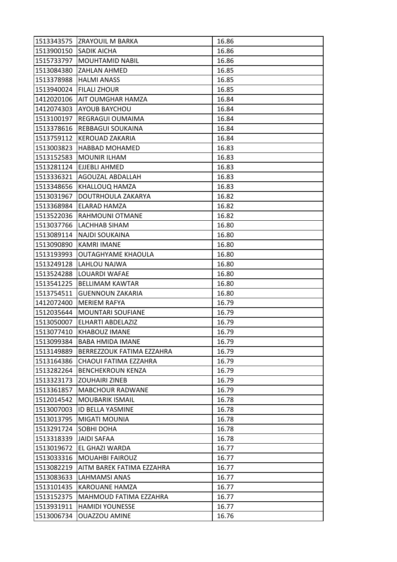| 16.86 |
|-------|
| 16.86 |
| 16.86 |
| 16.85 |
| 16.85 |
| 16.85 |
| 16.84 |
| 16.84 |
| 16.84 |
| 16.84 |
| 16.84 |
| 16.83 |
| 16.83 |
| 16.83 |
| 16.83 |
| 16.83 |
| 16.82 |
| 16.82 |
| 16.82 |
| 16.80 |
| 16.80 |
| 16.80 |
| 16.80 |
| 16.80 |
| 16.80 |
| 16.80 |
| 16.80 |
| 16.79 |
| 16.79 |
| 16.79 |
| 16.79 |
| 16.79 |
| 16.79 |
| 16.79 |
| 16.79 |
| 16.79 |
| 16.79 |
| 16.78 |
| 16.78 |
| 16.78 |
| 16.78 |
| 16.78 |
| 16.77 |
| 16.77 |
| 16.77 |
| 16.77 |
| 16.77 |
| 16.77 |
| 16.77 |
|       |
|       |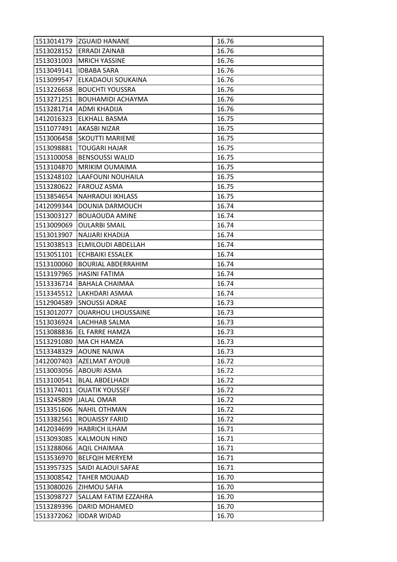|            | 1513014179 ZGUAID HANANE  | 16.76 |
|------------|---------------------------|-------|
| 1513028152 | <b>ERRADI ZAINAB</b>      | 16.76 |
| 1513031003 | <b>MRICH YASSINE</b>      | 16.76 |
| 1513049141 | <b>IDBABA SARA</b>        | 16.76 |
| 1513099547 | ELKADAOUI SOUKAINA        | 16.76 |
| 1513226658 | <b>BOUCHTI YOUSSRA</b>    | 16.76 |
| 1513271251 | <b>BOUHAMIDI ACHAYMA</b>  | 16.76 |
| 1513281714 | ADMI KHADIJA              | 16.76 |
| 1412016323 | <b>ELKHALL BASMA</b>      | 16.75 |
| 1511077491 | AKASBI NIZAR              | 16.75 |
| 1513006458 | <b>SKOUTTI MARIEME</b>    | 16.75 |
| 1513098881 | <b>TOUGARI HAJAR</b>      | 16.75 |
| 1513100058 | <b>BENSOUSSI WALID</b>    | 16.75 |
| 1513104870 | <b>MRIKIM OUMAIMA</b>     | 16.75 |
| 1513248102 | LAAFOUNI NOUHAILA         | 16.75 |
| 1513280622 | <b>FAROUZ ASMA</b>        | 16.75 |
| 1513854654 | <b>NAHRAOUI IKHLASS</b>   | 16.75 |
| 1412099344 | DOUNIA DARMOUCH           | 16.74 |
| 1513003127 | <b>BOUAOUDA AMINE</b>     | 16.74 |
| 1513009069 | <b>OULARBI SMAIL</b>      | 16.74 |
| 1513013907 | NAJJARI KHADIJA           | 16.74 |
| 1513038513 | ELMILOUDI ABDELLAH        | 16.74 |
| 1513051101 | <b>ECHBAIKI ESSALEK</b>   | 16.74 |
| 1513100060 | <b>BOURIAL ABDERRAHIM</b> | 16.74 |
| 1513197965 | HASINI FATIMA             | 16.74 |
| 1513336714 | <b>BAHALA CHAIMAA</b>     | 16.74 |
| 1513345512 | LAKHDARI ASMAA            | 16.74 |
| 1512904589 | <b>SNOUSSI ADRAE</b>      | 16.73 |
| 1513012077 | <b>OUARHOU LHOUSSAINE</b> | 16.73 |
| 1513036924 | LACHHAB SALMA             | 16.73 |
| 1513088836 | EL FARRE HAMZA            | 16.73 |
| 1513291080 | MA CH HAMZA               | 16.73 |
| 1513348329 | <b>AOUNE NAJWA</b>        | 16.73 |
| 1412007403 | <b>AZELMAT AYOUB</b>      | 16.72 |
| 1513003056 | <b>ABOURI ASMA</b>        | 16.72 |
| 1513100541 | <b>BLAL ABDELHADI</b>     | 16.72 |
| 1513174011 | <b>OUATIK YOUSSEF</b>     | 16.72 |
| 1513245809 | <b>JALAL OMAR</b>         | 16.72 |
| 1513351606 | <b>NAHIL OTHMAN</b>       | 16.72 |
| 1513382561 | <b>ROUAISSY FARID</b>     | 16.72 |
| 1412034699 | <b>HABRICH ILHAM</b>      | 16.71 |
| 1513093085 | <b>KALMOUN HIND</b>       | 16.71 |
| 1513288066 | <b>AQIL CHAIMAA</b>       | 16.71 |
| 1513536970 | <b>BELFQIH MERYEM</b>     | 16.71 |
| 1513957325 | SAIDI ALAOUI SAFAE        | 16.71 |
| 1513008542 | <b>TAHER MOUAAD</b>       | 16.70 |
| 1513080026 | ZIHMOU SAFIA              | 16.70 |
| 1513098727 | SALLAM FATIM EZZAHRA      | 16.70 |
| 1513289396 | DARID MOHAMED             | 16.70 |
| 1513372062 | <b>IDDAR WIDAD</b>        | 16.70 |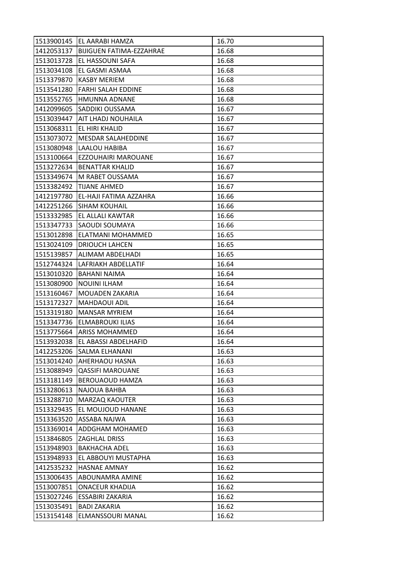| 1513900145 | EL AARABI HAMZA                 | 16.70 |
|------------|---------------------------------|-------|
| 1412053137 | <b>BIJIGUEN FATIMA-EZZAHRAE</b> | 16.68 |
| 1513013728 | EL HASSOUNI SAFA                | 16.68 |
| 1513034108 | EL GASMI ASMAA                  | 16.68 |
| 1513379870 | <b>KASBY MERIEM</b>             | 16.68 |
| 1513541280 | <b>FARHI SALAH EDDINE</b>       | 16.68 |
| 1513552765 | HMUNNA ADNANE                   | 16.68 |
| 1412099605 | <b>SADDIKI OUSSAMA</b>          | 16.67 |
| 1513039447 | AIT LHADJ NOUHAILA              | 16.67 |
| 1513068311 | <b>EL HIRI KHALID</b>           | 16.67 |
| 1513073072 | MESDAR SALAHEDDINE              | 16.67 |
| 1513080948 | LAALOU HABIBA                   | 16.67 |
| 1513100664 | EZZOUHAIRI MAROUANE             | 16.67 |
| 1513272634 | <b>BENATTAR KHALID</b>          | 16.67 |
| 1513349674 | M RABET OUSSAMA                 | 16.67 |
| 1513382492 | <b>TIJANE AHMED</b>             | 16.67 |
| 1412197780 | EL-HAJI FATIMA AZZAHRA          | 16.66 |
| 1412251266 | <b>SIHAM KOUHAIL</b>            | 16.66 |
| 1513332985 | <b>EL ALLALI KAWTAR</b>         | 16.66 |
| 1513347733 | SAOUDI SOUMAYA                  | 16.66 |
| 1513012898 | <b>ELATMANI MOHAMMED</b>        | 16.65 |
| 1513024109 | <b>DRIOUCH LAHCEN</b>           | 16.65 |
| 1515139857 | ALIMAM ABDELHADI                | 16.65 |
| 1512744324 | LAFRIAKH ABDELLATIF             | 16.64 |
| 1513010320 | BAHANI NAIMA                    | 16.64 |
| 1513080900 | <b>NOUINI ILHAM</b>             | 16.64 |
| 1513160467 | <b>MOUADEN ZAKARIA</b>          | 16.64 |
| 1513172327 | MAHDAOUI ADIL                   | 16.64 |
| 1513319180 | <b>MANSAR MYRIEM</b>            | 16.64 |
| 1513347736 | ELMABROUKI ILIAS                | 16.64 |
| 1513775664 | <b>ARISS MOHAMMED</b>           | 16.64 |
| 1513932038 | EL ABASSI ABDELHAFID            | 16.64 |
| 1412253206 | <b>SALMA ELHANANI</b>           | 16.63 |
| 1513014240 | AHERHAOU HASNA                  | 16.63 |
| 1513088949 | <b>QASSIFI MAROUANE</b>         | 16.63 |
| 1513181149 | BEROUAOUD HAMZA                 | 16.63 |
| 1513280613 | NAJOUA BAHBA                    | 16.63 |
| 1513288710 | MARZAQ KAOUTER                  | 16.63 |
| 1513329435 | EL MOUJOUD HANANE               | 16.63 |
| 1513363520 | <b>ASSABA NAJWA</b>             | 16.63 |
| 1513369014 | <b>ADDGHAM MOHAMED</b>          | 16.63 |
| 1513846805 | <b>ZAGHLAL DRISS</b>            | 16.63 |
| 1513948903 | <b>BAKHACHA ADEL</b>            | 16.63 |
| 1513948933 | EL ABBOUYI MUSTAPHA             | 16.63 |
| 1412535232 | <b>HASNAE AMNAY</b>             | 16.62 |
| 1513006435 | ABOUNAMRA AMINE                 | 16.62 |
| 1513007851 | <b>ONACEUR KHADIJA</b>          | 16.62 |
| 1513027246 | <b>ESSABIRI ZAKARIA</b>         | 16.62 |
| 1513035491 | <b>BADI ZAKARIA</b>             | 16.62 |
| 1513154148 | ELMANSSOURI MANAL               | 16.62 |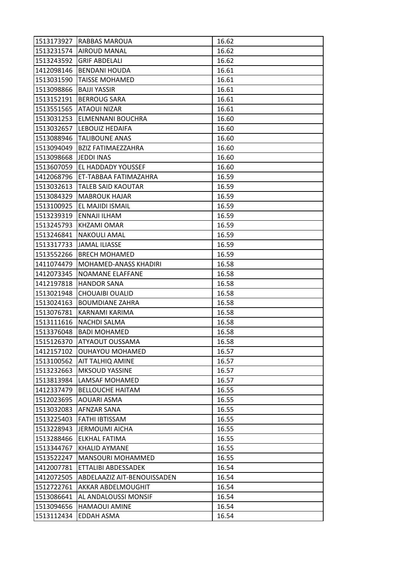| 1513173927 | RABBAS MAROUA               | 16.62 |
|------------|-----------------------------|-------|
| 1513231574 | <b>AIROUD MANAL</b>         | 16.62 |
| 1513243592 | <b>GRIF ABDELALI</b>        | 16.62 |
| 1412098146 | <b>BENDANI HOUDA</b>        | 16.61 |
| 1513031590 | <b>TAISSE MOHAMED</b>       | 16.61 |
| 1513098866 | <b>BAJJI YASSIR</b>         | 16.61 |
| 1513152191 | <b>BERROUG SARA</b>         | 16.61 |
| 1513551565 | ATAOUI NIZAR                | 16.61 |
| 1513031253 | ELMENNANI BOUCHRA           | 16.60 |
| 1513032657 | LEBOUIZ HEDAIFA             | 16.60 |
| 1513088946 | <b>TALIBOUNE ANAS</b>       | 16.60 |
| 1513094049 | <b>BZIZ FATIMAEZZAHRA</b>   | 16.60 |
| 1513098668 | JEDDI INAS                  | 16.60 |
| 1513607059 | EL HADDADY YOUSSEF          | 16.60 |
| 1412068796 | ET-TABBAA FATIMAZAHRA       | 16.59 |
| 1513032613 | <b>TALEB SAID KAOUTAR</b>   | 16.59 |
| 1513084329 | <b>MABROUK HAJAR</b>        | 16.59 |
| 1513100925 | EL MAJIDI ISMAIL            | 16.59 |
| 1513239319 | ENNAJI ILHAM                | 16.59 |
| 1513245793 | <b>KHZAMI OMAR</b>          | 16.59 |
| 1513246841 | <b>NAKOULI AMAL</b>         | 16.59 |
| 1513317733 | <b>JAMAL ILIASSE</b>        | 16.59 |
| 1513552266 | <b>BRECH MOHAMED</b>        | 16.59 |
| 1411074479 | MOHAMED-ANASS KHADIRI       | 16.58 |
| 1412073345 | NOAMANE ELAFFANE            | 16.58 |
| 1412197818 | <b>HANDOR SANA</b>          | 16.58 |
| 1513021948 | <b>CHOUAIBI OUALID</b>      | 16.58 |
| 1513024163 | <b>BOUMDIANE ZAHRA</b>      | 16.58 |
| 1513076781 | KARNAMI KARIMA              | 16.58 |
| 1513111616 | <b>NACHDI SALMA</b>         | 16.58 |
| 1513376048 | <b>BADI MOHAMED</b>         | 16.58 |
| 1515126370 | <b>ATYAOUT OUSSAMA</b>      | 16.58 |
| 1412157102 | <b>OUHAYOU MOHAMED</b>      | 16.57 |
| 1513100562 | AIT TALHIQ AMINE            | 16.57 |
| 1513232663 | <b>MKSOUD YASSINE</b>       | 16.57 |
| 1513813984 | LAMSAF MOHAMED              | 16.57 |
| 1412337479 | <b>BELLOUCHE HAITAM</b>     | 16.55 |
| 1512023695 | AOUARI ASMA                 | 16.55 |
| 1513032083 | AFNZAR SANA                 | 16.55 |
| 1513225403 | <b>FATHI IBTISSAM</b>       | 16.55 |
| 1513228943 | JERMOUMI AICHA              | 16.55 |
| 1513288466 | ELKHAL FATIMA               | 16.55 |
| 1513344767 | <b>KHALID AYMANE</b>        | 16.55 |
| 1513522247 | <b>MANSOURI MOHAMMED</b>    | 16.55 |
| 1412007781 | ETTALIBI ABDESSADEK         | 16.54 |
| 1412072505 | ABDELAAZIZ AIT-BENOUISSADEN | 16.54 |
| 1512722761 | AKKAR ABDELMOUGHIT          | 16.54 |
| 1513086641 | AL ANDALOUSSI MONSIF        | 16.54 |
| 1513094656 | <b>HAMAOUI AMINE</b>        | 16.54 |
| 1513112434 | EDDAH ASMA                  | 16.54 |
|            |                             |       |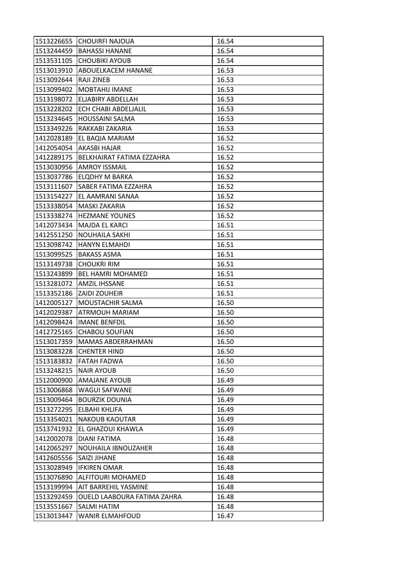| 1513226655 | CHOUIRFI NAJOUA             | 16.54 |
|------------|-----------------------------|-------|
| 1513244459 | <b>BAHASSI HANANE</b>       | 16.54 |
| 1513531105 | <b>CHOUBIKI AYOUB</b>       | 16.54 |
| 1513013910 | ABOUELKACEM HANANE          | 16.53 |
| 1513092644 | <b>RAJI ZINEB</b>           | 16.53 |
| 1513099402 | <b>MOBTAHIJ IMANE</b>       | 16.53 |
| 1513198072 | <b>ELJABIRY ABDELLAH</b>    | 16.53 |
| 1513228202 | ECH CHABI ABDELJALIL        | 16.53 |
| 1513234645 | <b>HOUSSAINI SALMA</b>      | 16.53 |
| 1513349226 | RAKKABI ZAKARIA             | 16.53 |
| 1412028189 | EL BAQIA MARIAM             | 16.52 |
| 1412054054 | AKASBI HAJAR                | 16.52 |
| 1412289175 | BELKHAIRAT FATIMA EZZAHRA   | 16.52 |
| 1513030956 | <b>AMROY ISSMAIL</b>        | 16.52 |
| 1513037786 | ELQDHY M BARKA              | 16.52 |
| 1513111607 | <b>SABER FATIMA EZZAHRA</b> | 16.52 |
| 1513154227 | EL AAMRANI SANAA            | 16.52 |
| 1513338054 | MASKI ZAKARIA               | 16.52 |
| 1513338274 | <b>HEZMANE YOUNES</b>       | 16.52 |
| 1412073434 | <b>MAJDA EL KARCI</b>       | 16.51 |
| 1412551250 | <b>NOUHAILA SAKHI</b>       | 16.51 |
| 1513098742 | <b>HANYN ELMAHDI</b>        | 16.51 |
| 1513099525 | <b>BAKASS ASMA</b>          | 16.51 |
| 1513149738 | <b>CHOUKRI RIM</b>          | 16.51 |
| 1513243899 | <b>BEL HAMRI MOHAMED</b>    | 16.51 |
| 1513281072 | <b>AMZIL IHSSANE</b>        | 16.51 |
| 1513352186 | ZAIDI ZOUHEIR               | 16.51 |
| 1412005127 | MOUSTACHIR SALMA            | 16.50 |
| 1412029387 | <b>ATRMOUH MARIAM</b>       | 16.50 |
| 1412098424 | <b>IMANE BENFDIL</b>        | 16.50 |
| 1412725165 | <b>CHABOU SOUFIAN</b>       | 16.50 |
| 1513017359 | <b>MAMAS ABDERRAHMAN</b>    | 16.50 |
| 1513083228 | <b>CHENTER HIND</b>         | 16.50 |
| 1513183832 | <b>FATAH FADWA</b>          | 16.50 |
| 1513248215 | <b>NAIR AYOUB</b>           | 16.50 |
| 1512000900 | <b>AMAJANE AYOUB</b>        | 16.49 |
| 1513006868 | WAGUI SAFWANE               | 16.49 |
| 1513009464 | <b>BOURZIK DOUNIA</b>       | 16.49 |
| 1513272295 | ELBAHI KHLIFA               | 16.49 |
| 1513354021 | <b>NAKOUB KAOUTAR</b>       | 16.49 |
| 1513741932 | EL GHAZOUI KHAWLA           | 16.49 |
| 1412002078 | DIANI FATIMA                | 16.48 |
| 1412065297 | NOUHAILA IBNOUZAHER         | 16.48 |
| 1412605556 | SAIZI JIHANE                | 16.48 |
| 1513028949 | <b>IFKIREN OMAR</b>         | 16.48 |
| 1513076890 | ALFITOURI MOHAMED           | 16.48 |
| 1513199994 | AIT BARREHIL YASMINE        | 16.48 |
| 1513292459 | OUELD LAABOURA FATIMA ZAHRA | 16.48 |
| 1513551667 | SALMI HATIM                 | 16.48 |
| 1513013447 | <b>WANIR ELMAHFOUD</b>      | 16.47 |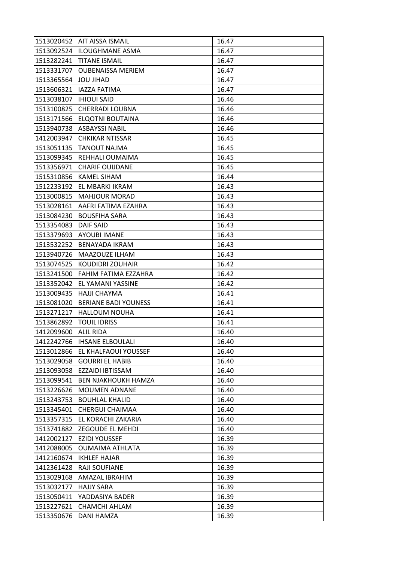|            | 1513020452   AIT AISSA ISMAIL | 16.47 |
|------------|-------------------------------|-------|
| 1513092524 | <b>ILOUGHMANE ASMA</b>        | 16.47 |
| 1513282241 | <b>TITANE ISMAIL</b>          | 16.47 |
| 1513331707 | <b>OUBENAISSA MERIEM</b>      | 16.47 |
| 1513365564 | <b>JOU JIHAD</b>              | 16.47 |
| 1513606321 | IAZZA FATIMA                  | 16.47 |
| 1513038107 | <b>IHIOUI SAID</b>            | 16.46 |
| 1513100825 | <b>CHERRADI LOUBNA</b>        | 16.46 |
| 1513171566 | <b>ELQOTNI BOUTAINA</b>       | 16.46 |
| 1513940738 | <b>ASBAYSSI NABIL</b>         | 16.46 |
| 1412003947 | <b>CHKIKAR NTISSAR</b>        | 16.45 |
| 1513051135 | <b>TANOUT NAJMA</b>           | 16.45 |
| 1513099345 | REHHALI OUMAIMA               | 16.45 |
| 1513356971 | <b>CHARIF OUIJDANE</b>        | 16.45 |
| 1515310856 | <b>KAMEL SIHAM</b>            | 16.44 |
| 1512233192 | EL MBARKI IKRAM               | 16.43 |
| 1513000815 | <b>MAHJOUR MORAD</b>          | 16.43 |
| 1513028161 | AAFRI FATIMA EZAHRA           | 16.43 |
| 1513084230 | <b>BOUSFIHA SARA</b>          | 16.43 |
| 1513354083 | DAIF SAID                     | 16.43 |
| 1513379693 | <b>AYOUBI IMANE</b>           | 16.43 |
| 1513532252 | BENAYADA IKRAM                | 16.43 |
| 1513940726 | MAAZOUZE ILHAM                | 16.43 |
| 1513074525 | KOUDIDRI ZOUHAIR              | 16.42 |
| 1513241500 | FAHIM FATIMA EZZAHRA          | 16.42 |
| 1513352042 | EL YAMANI YASSINE             | 16.42 |
| 1513009435 | <b>HAJJI CHAYMA</b>           | 16.41 |
| 1513081020 | <b>BERIANE BADI YOUNESS</b>   | 16.41 |
| 1513271217 | <b>HALLOUM NOUHA</b>          | 16.41 |
| 1513862892 | <b>TOUIL IDRISS</b>           | 16.41 |
| 1412099600 | <b>ALIL RIDA</b>              | 16.40 |
| 1412242766 | <b>IHSANE ELBOULALI</b>       | 16.40 |
| 1513012866 | EL KHALFAOUI YOUSSEF          | 16.40 |
| 1513029058 | <b>GOURRI EL HABIB</b>        | 16.40 |
| 1513093058 | EZZAIDI IBTISSAM              | 16.40 |
| 1513099541 | <b>BEN NJAKHOUKH HAMZA</b>    | 16.40 |
| 1513226626 | <b>MOUMEN ADNANE</b>          | 16.40 |
| 1513243753 | <b>BOUHLAL KHALID</b>         | 16.40 |
| 1513345401 | CHERGUI CHAIMAA               | 16.40 |
| 1513357315 | EL KORACHI ZAKARIA            | 16.40 |
| 1513741882 | ZEGOUDE EL MEHDI              | 16.40 |
| 1412002127 | <b>EZIDI YOUSSEF</b>          | 16.39 |
| 1412088005 | <b>OUMAIMA ATHLATA</b>        | 16.39 |
| 1412160674 | <b>IKHLEF HAJAR</b>           | 16.39 |
| 1412361428 | RAJI SOUFIANE                 | 16.39 |
| 1513029168 | AMAZAL IBRAHIM                | 16.39 |
| 1513032177 | <b>HAJJY SARA</b>             | 16.39 |
| 1513050411 |                               |       |
|            | YADDASIYA BADER               | 16.39 |
| 1513227621 | CHAMCHI AHLAM                 | 16.39 |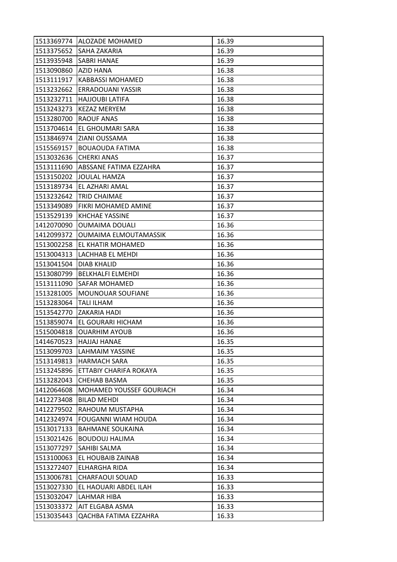|            | 1513369774 ALOZADE MOHAMED      | 16.39 |
|------------|---------------------------------|-------|
|            | 1513375652 SAHA ZAKARIA         | 16.39 |
| 1513935948 | <b>SABRI HANAE</b>              | 16.39 |
| 1513090860 | <b>AZID HANA</b>                | 16.38 |
| 1513111917 | <b>KABBASSI MOHAMED</b>         | 16.38 |
| 1513232662 | ERRADOUANI YASSIR               | 16.38 |
| 1513232711 | <b>HAJJOUBI LATIFA</b>          | 16.38 |
| 1513243273 | KEZAZ MERYEM                    | 16.38 |
| 1513280700 | <b>RAOUF ANAS</b>               | 16.38 |
| 1513704614 | EL GHOUMARI SARA                | 16.38 |
|            | 1513846974 ZIANI OUSSAMA        | 16.38 |
| 1515569157 | <b>BOUAOUDA FATIMA</b>          | 16.38 |
| 1513032636 | <b>CHERKI ANAS</b>              | 16.37 |
| 1513111690 | ABSSANE FATIMA EZZAHRA          | 16.37 |
| 1513150202 | <b>JOULAL HAMZA</b>             | 16.37 |
|            | 1513189734 EL AZHARI AMAL       | 16.37 |
| 1513232642 | <b>TRID CHAIMAE</b>             | 16.37 |
| 1513349089 | FIKRI MOHAMED AMINE             | 16.37 |
| 1513529139 | <b>KHCHAE YASSINE</b>           | 16.37 |
| 1412070090 | <b>OUMAIMA DOUALI</b>           | 16.36 |
| 1412099372 | OUMAIMA ELMOUTAMASSIK           | 16.36 |
| 1513002258 | EL KHATIR MOHAMED               | 16.36 |
| 1513004313 | LACHHAB EL MEHDI                | 16.36 |
| 1513041504 | DIAB KHALID                     | 16.36 |
| 1513080799 | <b>BELKHALFI ELMEHDI</b>        | 16.36 |
| 1513111090 | <b>SAFAR MOHAMED</b>            | 16.36 |
| 1513281005 | MOUNOUAR SOUFIANE               | 16.36 |
| 1513283064 | <b>TALI ILHAM</b>               | 16.36 |
| 1513542770 | <b>ZAKARIA HADI</b>             | 16.36 |
| 1513859074 | EL GOURARI HICHAM               | 16.36 |
| 1515004818 | <b>OUARHIM AYOUB</b>            | 16.36 |
| 1414670523 | <b>HAJJAJ HANAE</b>             | 16.35 |
| 1513099703 | LAHMAIM YASSINE                 | 16.35 |
| 1513149813 | <b>HARMACH SARA</b>             | 16.35 |
| 1513245896 | ETTABIY CHARIFA ROKAYA          | 16.35 |
| 1513282043 | CHEHAB BASMA                    | 16.35 |
| 1412064608 | <b>MOHAMED YOUSSEF GOURIACH</b> | 16.34 |
| 1412273408 | <b>BILAD MEHDI</b>              | 16.34 |
| 1412279502 | RAHOUM MUSTAPHA                 | 16.34 |
| 1412324974 | FOUGANNI WIAM HOUDA             | 16.34 |
| 1513017133 | <b>BAHMANE SOUKAINA</b>         | 16.34 |
| 1513021426 | <b>BOUDOUJ HALIMA</b>           | 16.34 |
| 1513077297 | SAHIBI SALMA                    | 16.34 |
| 1513100063 | EL HOUBAIB ZAINAB               | 16.34 |
| 1513272407 | ELHARGHA RIDA                   | 16.34 |
| 1513006781 | <b>CHARFAOUI SOUAD</b>          | 16.33 |
| 1513027330 | EL HAOUARI ABDEL ILAH           | 16.33 |
| 1513032047 | LAHMAR HIBA                     | 16.33 |
| 1513033372 | AIT ELGABA ASMA                 | 16.33 |
| 1513035443 | QACHBA FATIMA EZZAHRA           | 16.33 |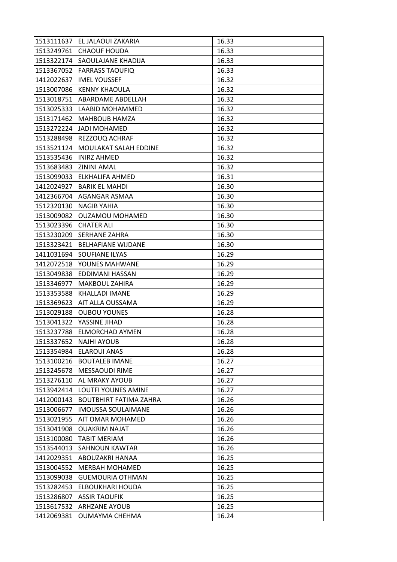| 1513111637             | EL JALAOUI ZAKARIA            | 16.33 |
|------------------------|-------------------------------|-------|
| 1513249761             | <b>CHAOUF HOUDA</b>           | 16.33 |
| 1513322174             | SAOULAJANE KHADIJA            | 16.33 |
| 1513367052             | <b>FARRASS TAOUFIQ</b>        | 16.33 |
| 1412022637             | <b>IMEL YOUSSEF</b>           | 16.32 |
| 1513007086             | <b>KENNY KHAOULA</b>          | 16.32 |
|                        | 1513018751 ABARDAME ABDELLAH  | 16.32 |
| 1513025333             | LAABID MOHAMMED               | 16.32 |
|                        | 1513171462   MAHBOUB HAMZA    | 16.32 |
| 1513272224             | JADI MOHAMED                  | 16.32 |
| 1513288498             | REZZOUQ ACHRAF                | 16.32 |
| 1513521124             | MOULAKAT SALAH EDDINE         | 16.32 |
| 1513535436             | <b>INIRZ AHMED</b>            | 16.32 |
| 1513683483 ZININI AMAL |                               | 16.32 |
| 1513099033             | ELKHALIFA AHMED               | 16.31 |
|                        | 1412024927   BARIK EL MAHDI   | 16.30 |
|                        | 1412366704   AGANGAR ASMAA    | 16.30 |
| 1512320130             | <b>NAGIB YAHIA</b>            | 16.30 |
| 1513009082             | <b>OUZAMOU MOHAMED</b>        | 16.30 |
| 1513023396             | <b>CHATER ALI</b>             | 16.30 |
| 1513230209             | <b>SERHANE ZAHRA</b>          | 16.30 |
| 1513323421             | <b>BELHAFIANE WIJDANE</b>     | 16.30 |
| 1411031694             | SOUFIANE ILYAS                | 16.29 |
| 1412072518             | YOUNES MAHWANE                | 16.29 |
| 1513049838             | EDDIMANI HASSAN               | 16.29 |
| 1513346977             | MAKBOUL ZAHIRA                | 16.29 |
| 1513353588             | KHALLADI IMANE                | 16.29 |
| 1513369623             | AIT ALLA OUSSAMA              | 16.29 |
| 1513029188             | <b>OUBOU YOUNES</b>           | 16.28 |
| 1513041322             | YASSINE JIHAD                 | 16.28 |
| 1513237788             | <b>ELMORCHAD AYMEN</b>        | 16.28 |
| 1513337652             | <b>NAJHI AYOUB</b>            | 16.28 |
| 1513354984             | <b>ELAROUI ANAS</b>           | 16.28 |
| 1513100216             | <b>BOUTALEB IMANE</b>         | 16.27 |
| 1513245678             | <b>MESSAOUDI RIME</b>         | 16.27 |
| 1513276110             | AL MRAKY AYOUB                | 16.27 |
| 1513942414             | <b>LOUTFI YOUNES AMINE</b>    | 16.27 |
| 1412000143             | <b>BOUTBHIRT FATIMA ZAHRA</b> | 16.26 |
| 1513006677             | <b>IMOUSSA SOULAIMANE</b>     | 16.26 |
| 1513021955             | AIT OMAR MOHAMED              | 16.26 |
| 1513041908             | <b>OUAKRIM NAJAT</b>          | 16.26 |
| 1513100080             | <b>TABIT MERIAM</b>           | 16.26 |
| 1513544013             | <b>SAHNOUN KAWTAR</b>         | 16.26 |
| 1412029351             | ABOUZAKRI HANAA               | 16.25 |
| 1513004552             | <b>MERBAH MOHAMED</b>         | 16.25 |
| 1513099038             | <b>GUEMOURIA OTHMAN</b>       | 16.25 |
| 1513282453             | ELBOUKHARI HOUDA              | 16.25 |
| 1513286807             | <b>ASSIR TAOUFIK</b>          | 16.25 |
| 1513617532             | <b>ARHZANE AYOUB</b>          | 16.25 |
| 1412069381             | OUMAYMA CHEHMA                | 16.24 |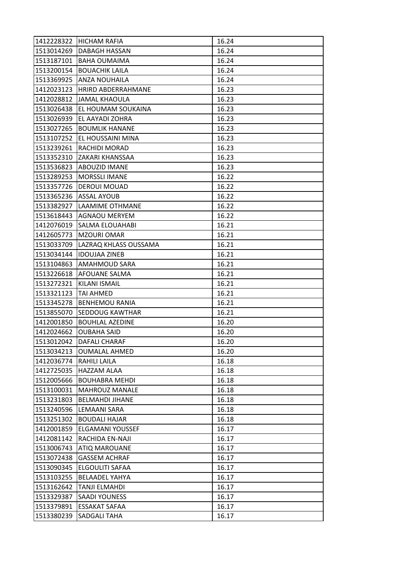|            | 1412228322 HICHAM RAFIA | 16.24 |
|------------|-------------------------|-------|
| 1513014269 | <b>DABAGH HASSAN</b>    | 16.24 |
| 1513187101 | <b>BAHA OUMAIMA</b>     | 16.24 |
| 1513200154 | <b>BOUACHIK LAILA</b>   | 16.24 |
| 1513369925 | <b>ANZA NOUHAILA</b>    | 16.24 |
| 1412023123 | HRIRD ABDERRAHMANE      | 16.23 |
| 1412028812 | JAMAL KHAOULA           | 16.23 |
| 1513026438 | EL HOUMAM SOUKAINA      | 16.23 |
| 1513026939 | EL AAYADI ZOHRA         | 16.23 |
| 1513027265 | <b>BOUMLIK HANANE</b>   | 16.23 |
| 1513107252 | EL HOUSSAINI MINA       | 16.23 |
| 1513239261 | <b>RACHIDI MORAD</b>    | 16.23 |
| 1513352310 | ZAKARI KHANSSAA         | 16.23 |
| 1513536823 | <b>ABOUZID IMANE</b>    | 16.23 |
| 1513289253 | MORSSLI IMANE           | 16.22 |
| 1513357726 | <b>DEROUI MOUAD</b>     | 16.22 |
| 1513365236 | <b>ASSAL AYOUB</b>      | 16.22 |
| 1513382927 | <b>LAAMIME OTHMANE</b>  | 16.22 |
| 1513618443 | <b>AGNAOU MERYEM</b>    | 16.22 |
| 1412076019 | SALMA ELOUAHABI         | 16.21 |
| 1412605773 | <b>MZOURI OMAR</b>      | 16.21 |
| 1513033709 | LAZRAQ KHLASS OUSSAMA   | 16.21 |
| 1513034144 | <b>IDOUJAA ZINEB</b>    | 16.21 |
| 1513104863 | AMAHMOUD SARA           | 16.21 |
| 1513226618 | <b>AFOUANE SALMA</b>    | 16.21 |
| 1513272321 | KILANI ISMAIL           | 16.21 |
| 1513321123 | TAI AHMED               | 16.21 |
| 1513345278 | <b>BENHEMOU RANIA</b>   | 16.21 |
| 1513855070 | <b>SEDDOUG KAWTHAR</b>  | 16.21 |
| 1412001850 | <b>BOUHLAL AZEDINE</b>  | 16.20 |
| 1412024662 | <b>OUBAHA SAID</b>      | 16.20 |
| 1513012042 | <b>DAFALI CHARAF</b>    |       |
|            |                         | 16.20 |
| 1513034213 | <b>OUMALAL AHMED</b>    | 16.20 |
| 1412036774 | RAHILI LAILA            | 16.18 |
| 1412725035 | <b>HAZZAM ALAA</b>      | 16.18 |
| 1512005666 | <b>BOUHABRA MEHDI</b>   | 16.18 |
| 1513100031 | MAHROUZ MANALE          | 16.18 |
| 1513231803 | <b>BELMAHDI JIHANE</b>  | 16.18 |
| 1513240596 | LEMAANI SARA            | 16.18 |
| 1513251302 | <b>BOUDALI HAJAR</b>    | 16.18 |
| 1412001859 | ELGAMANI YOUSSEF        | 16.17 |
| 1412081142 | RACHIDA EN-NAJI         | 16.17 |
| 1513006743 | <b>ATIQ MAROUANE</b>    | 16.17 |
| 1513072438 | <b>GASSEM ACHRAF</b>    | 16.17 |
| 1513090345 | ELGOULITI SAFAA         | 16.17 |
| 1513103255 | <b>BELAADEL YAHYA</b>   | 16.17 |
| 1513162642 | <b>TANJI ELMAHDI</b>    | 16.17 |
| 1513329387 | <b>SAADI YOUNESS</b>    | 16.17 |
| 1513379891 | <b>ESSAKAT SAFAA</b>    | 16.17 |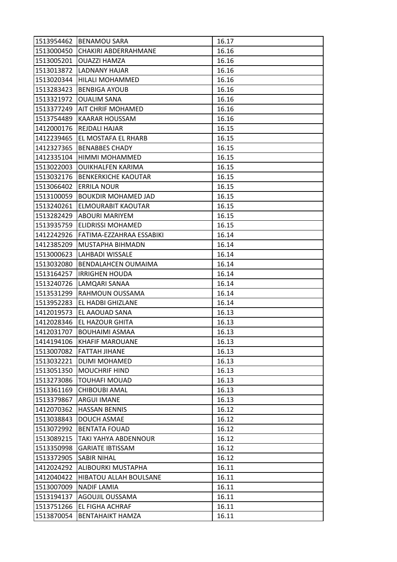|                          | 1513954462 BENAMOU SARA       | 16.17          |
|--------------------------|-------------------------------|----------------|
| 1513000450               | CHAKIRI ABDERRAHMANE          | 16.16          |
| 1513005201               | <b>OUAZZI HAMZA</b>           | 16.16          |
| 1513013872               | LADNANY HAJAR                 | 16.16          |
| 1513020344               | <b>HILALI MOHAMMED</b>        | 16.16          |
| 1513283423               | <b>BENBIGA AYOUB</b>          | 16.16          |
| 1513321972               | <b>OUALIM SANA</b>            | 16.16          |
| 1513377249               | AIT CHRIF MOHAMED             | 16.16          |
| 1513754489               | <b>KAARAR HOUSSAM</b>         | 16.16          |
| 1412000176               | <b>REJDALI HAJAR</b>          | 16.15          |
| 1412239465               | EL MOSTAFA EL RHARB           | 16.15          |
| 1412327365               | <b>BENABBES CHADY</b>         | 16.15          |
| 1412335104               | HIMMI MOHAMMED                | 16.15          |
| 1513022003               | <b>OUIKHALFEN KARIMA</b>      | 16.15          |
| 1513032176               | <b>BENKERKICHE KAOUTAR</b>    | 16.15          |
| 1513066402               | <b>ERRILA NOUR</b>            | 16.15          |
| 1513100059               | <b>BOUKDIR MOHAMED JAD</b>    | 16.15          |
| 1513240261               | <b>ELMOURABIT KAOUTAR</b>     | 16.15          |
| 1513282429               | <b>ABOURI MARIYEM</b>         | 16.15          |
| 1513935759               | ELIDRISSI MOHAMED             | 16.15          |
| 1412242926               | FATIMA-EZZAHRAA ESSABIKI      | 16.14          |
| 1412385209               | MUSTAPHA BIHMADN              | 16.14          |
| 1513000623               | LAHBADI WISSALE               | 16.14          |
| 1513032080               | <b>BENDALAHCEN OUMAIMA</b>    | 16.14          |
| 1513164257               | <b>IRRIGHEN HOUDA</b>         | 16.14          |
| 1513240726               | LAMQARI SANAA                 | 16.14          |
| 1513531299               | RAHMOUN OUSSAMA               | 16.14          |
| 1513952283               | EL HADBI GHIZLANE             | 16.14          |
| 1412019573               | EL AAOUAD SANA                | 16.13          |
| 1412028346               | EL HAZOUR GHITA               | 16.13          |
| 1412031707               | <b>BOUHAIMI ASMAA</b>         | 16.13          |
| 1414194106               | <b>KHAFIF MAROUANE</b>        | 16.13          |
| 1513007082               | <b>FATTAH JIHANE</b>          | 16.13          |
| 1513032221               | DLIMI MOHAMED                 | 16.13          |
| 1513051350               | <b>MOUCHRIF HIND</b>          | 16.13          |
| 1513273086               | <b>TOUHAFI MOUAD</b>          | 16.13          |
| 1513361169               | <b>CHIBOUBI AMAL</b>          | 16.13          |
| 1513379867               | <b>ARGUI IMANE</b>            | 16.13          |
| 1412070362               | <b>HASSAN BENNIS</b>          | 16.12          |
| 1513038843               | <b>DOUCH ASMAE</b>            | 16.12          |
| 1513072992               | <b>BENTATA FOUAD</b>          | 16.12          |
| 1513089215               | TAKI YAHYA ABDENNOUR          | 16.12          |
| 1513350998               | <b>GARIATE IBTISSAM</b>       | 16.12          |
| 1513372905               | <b>SABIR NIHAL</b>            | 16.12          |
| 1412024292               | <b>ALIBOURKI MUSTAPHA</b>     | 16.11          |
| 1412040422               |                               | 16.11          |
|                          | <b>HIBATOU ALLAH BOULSANE</b> |                |
| 1513007009               | <b>NADIF LAMIA</b>            | 16.11          |
| 1513194137               | AGOUJIL OUSSAMA               | 16.11          |
| 1513751266<br>1513870054 | EL FIGHA ACHRAF               | 16.11<br>16.11 |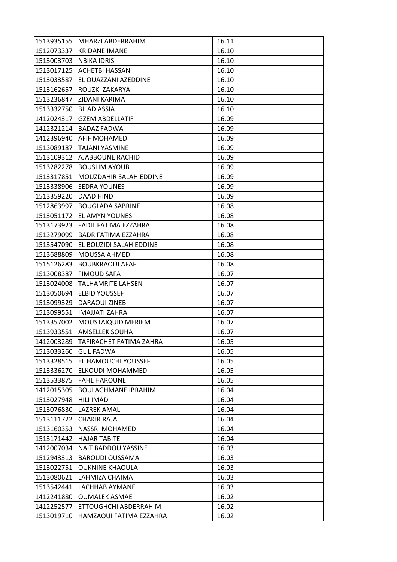| 1513935155 | MHARZI ABDERRAHIM          | 16.11 |
|------------|----------------------------|-------|
| 1512073337 | <b>KRIDANE IMANE</b>       | 16.10 |
| 1513003703 | <b>NBIKA IDRIS</b>         | 16.10 |
| 1513017125 | <b>ACHETBI HASSAN</b>      | 16.10 |
| 1513033587 | EL OUAZZANI AZEDDINE       | 16.10 |
| 1513162657 | ROUZKI ZAKARYA             | 16.10 |
| 1513236847 | <b>ZIDANI KARIMA</b>       | 16.10 |
| 1513332750 | <b>BILAD ASSIA</b>         | 16.10 |
| 1412024317 | <b>GZEM ABDELLATIF</b>     | 16.09 |
| 1412321214 | <b>BADAZ FADWA</b>         | 16.09 |
| 1412396940 | <b>AFIF MOHAMED</b>        | 16.09 |
| 1513089187 | TAJANI YASMINE             | 16.09 |
| 1513109312 | AJABBOUNE RACHID           | 16.09 |
| 1513282278 | <b>BOUSLIM AYOUB</b>       | 16.09 |
| 1513317851 | MOUZDAHIR SALAH EDDINE     | 16.09 |
| 1513338906 | SEDRA YOUNES               | 16.09 |
| 1513359220 | DAAD HIND                  | 16.09 |
| 1512863997 | <b>BOUGLADA SABRINE</b>    | 16.08 |
| 1513051172 | EL AMYN YOUNES             | 16.08 |
| 1513173923 | FADIL FATIMA EZZAHRA       | 16.08 |
| 1513279099 | <b>BADR FATIMA EZZAHRA</b> | 16.08 |
| 1513547090 | EL BOUZIDI SALAH EDDINE    | 16.08 |
| 1513688809 | MOUSSA AHMED               | 16.08 |
| 1515126283 | <b>BOUBKRAOUI AFAF</b>     | 16.08 |
| 1513008387 | <b>FIMOUD SAFA</b>         | 16.07 |
| 1513024008 | <b>TALHAMRITE LAHSEN</b>   | 16.07 |
| 1513050694 | <b>ELBID YOUSSEF</b>       | 16.07 |
| 1513099329 | DARAOUI ZINEB              | 16.07 |
| 1513099551 | <b>IMAJJATI ZAHRA</b>      | 16.07 |
| 1513357002 | <b>MOUSTAIQUID MERIEM</b>  | 16.07 |
| 1513933551 | <b>AMSELLEK SOUHA</b>      | 16.07 |
| 1412003289 | TAFIRACHET FATIMA ZAHRA    | 16.05 |
| 1513033260 | <b>GLIL FADWA</b>          | 16.05 |
| 1513328515 | EL HAMOUCHI YOUSSEF        | 16.05 |
| 1513336270 | ELKOUDI MOHAMMED           | 16.05 |
| 1513533875 | <b>FAHL HAROUNE</b>        | 16.05 |
| 1412015305 | <b>BOULAGHMANE IBRAHIM</b> | 16.04 |
| 1513027948 | <b>HILI IMAD</b>           | 16.04 |
| 1513076830 | <b>LAZREK AMAL</b>         | 16.04 |
| 1513111722 | <b>CHAKIR RAJA</b>         | 16.04 |
| 1513160353 | NASSRI MOHAMED             | 16.04 |
| 1513171442 | <b>HAJAR TABITE</b>        | 16.04 |
| 1412007034 | NAIT BADDOU YASSINE        | 16.03 |
| 1512943313 | <b>BAROUDI OUSSAMA</b>     | 16.03 |
| 1513022751 | <b>OUKNINE KHAOULA</b>     | 16.03 |
| 1513080621 | LAHMIZA CHAIMA             | 16.03 |
| 1513542441 | LACHHAB AYMANE             | 16.03 |
| 1412241880 | <b>OUMALEK ASMAE</b>       | 16.02 |
| 1412252577 | ETTOUGHCHI ABDERRAHIM      | 16.02 |
| 1513019710 | HAMZAOUI FATIMA EZZAHRA    | 16.02 |